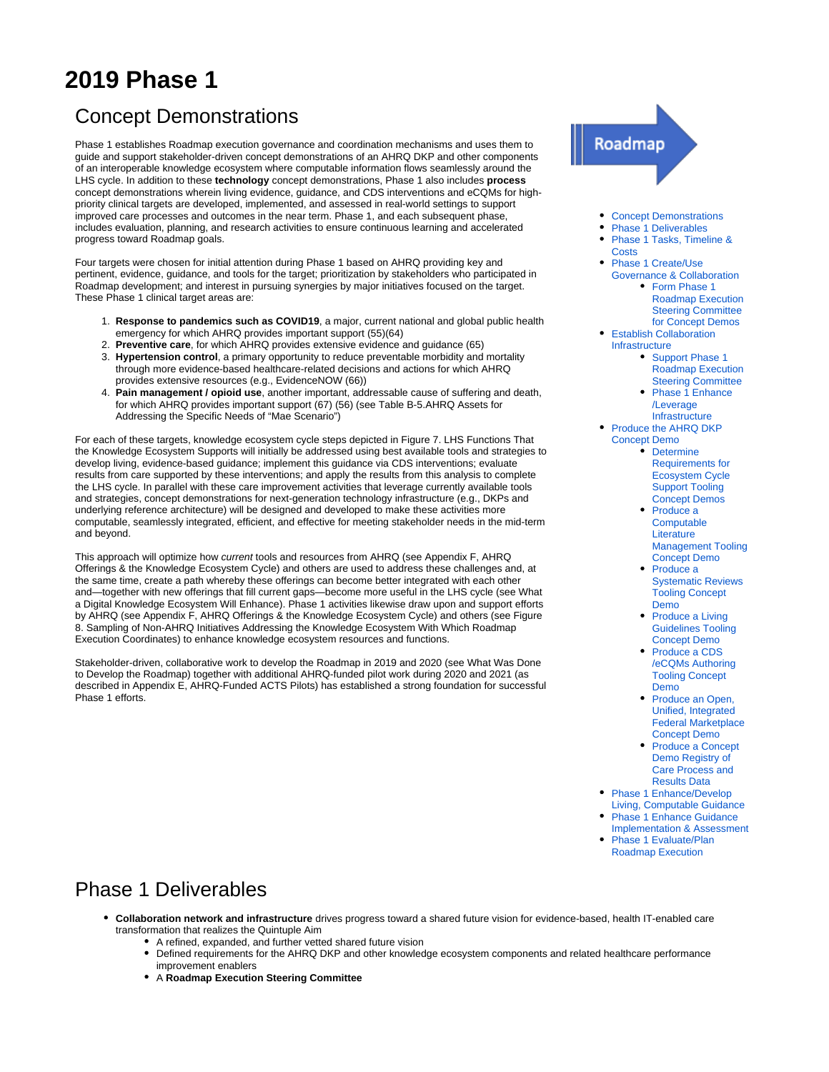# **2019 Phase 1**

# <span id="page-0-0"></span>Concept Demonstrations

Phase 1 establishes Roadmap execution governance and coordination mechanisms and uses them to guide and support stakeholder-driven concept demonstrations of an AHRQ DKP and other components of an interoperable knowledge ecosystem where computable information flows seamlessly around the LHS cycle. In addition to these **technology** concept demonstrations, Phase 1 also includes **process** concept demonstrations wherein living evidence, guidance, and CDS interventions and eCQMs for highpriority clinical targets are developed, implemented, and assessed in real-world settings to support improved care processes and outcomes in the near term. Phase 1, and each subsequent phase, includes evaluation, planning, and research activities to ensure continuous learning and accelerated progress toward Roadmap goals.

Four targets were chosen for initial attention during Phase 1 based on AHRQ providing key and pertinent, evidence, guidance, and tools for the target; prioritization by stakeholders who participated in Roadmap development; and interest in pursuing synergies by major initiatives focused on the target. These Phase 1 clinical target areas are:

- 1. **Response to pandemics such as COVID19**, a major, current national and global public health emergency for which AHRQ provides important support (55)(64)
- 2. **Preventive care**, for which AHRQ provides extensive evidence and guidance (65)
- 3. **Hypertension control**, a primary opportunity to reduce preventable morbidity and mortality through more evidence-based healthcare-related decisions and actions for which AHRQ provides extensive resources (e.g., EvidenceNOW (66))
- 4. **Pain management / opioid use**, another important, addressable cause of suffering and death, for which AHRQ provides important support (67) (56) (see Table B-5.AHRQ Assets for Addressing the Specific Needs of "Mae Scenario")

For each of these targets, knowledge ecosystem cycle steps depicted in Figure 7. LHS Functions That the Knowledge Ecosystem Supports will initially be addressed using best available tools and strategies to develop living, evidence-based guidance; implement this guidance via CDS interventions; evaluate results from care supported by these interventions; and apply the results from this analysis to complete the LHS cycle. In parallel with these care improvement activities that leverage currently available tools and strategies, concept demonstrations for next-generation technology infrastructure (e.g., DKPs and underlying reference architecture) will be designed and developed to make these activities more computable, seamlessly integrated, efficient, and effective for meeting stakeholder needs in the mid-term and beyond.

This approach will optimize how current tools and resources from AHRQ (see Appendix F, AHRQ Offerings & the Knowledge Ecosystem Cycle) and others are used to address these challenges and, at the same time, create a path whereby these offerings can become better integrated with each other and—together with new offerings that fill current gaps—become more useful in the LHS cycle (see What a Digital Knowledge Ecosystem Will Enhance). Phase 1 activities likewise draw upon and support efforts by AHRQ (see Appendix F, AHRQ Offerings & the Knowledge Ecosystem Cycle) and others (see Figure 8. Sampling of Non-AHRQ Initiatives Addressing the Knowledge Ecosystem With Which Roadmap Execution Coordinates) to enhance knowledge ecosystem resources and functions.

Stakeholder-driven, collaborative work to develop the Roadmap in 2019 and 2020 (see What Was Done to Develop the Roadmap) together with additional AHRQ-funded pilot work during 2020 and 2021 (as described in Appendix E, AHRQ-Funded ACTS Pilots) has established a strong foundation for successful Phase 1 efforts.

# Roadmap

- [Concept Demonstrations](#page-0-0)
- [Phase 1 Deliverables](#page-0-1)
- [Phase 1 Tasks, Timeline &](#page-1-0)  **[Costs](#page-1-0)**
- [Phase 1 Create/Use](#page-4-0) 
	- [Governance & Collaboration](#page-4-0) • Form Phase 1 [Roadmap Execution](#page-4-1) 
		- [Steering Committee](#page-4-1)
		- [for Concept Demos](#page-4-1)
- [Establish Collaboration](#page-5-0)  [Infrastructure](#page-5-0)
	- Support Phase 1 [Roadmap Execution](#page-5-1)  [Steering Committee](#page-5-1)
	- [Phase 1 Enhance](#page-7-0) [/Leverage](#page-7-0)  [Infrastructure](#page-7-0)
- Produce the AHRQ DKP [Concept Demo](#page-9-0)
	- **Determine** [Requirements for](#page-10-0)  [Ecosystem Cycle](#page-10-0)  [Support Tooling](#page-10-0)  [Concept Demos](#page-10-0)
	- Produce a **Computable** [Literature](#page-10-1)  [Management Tooling](#page-10-1)  [Concept Demo](#page-10-1)
	- Produce a [Systematic Reviews](#page-10-2)  [Tooling Concept](#page-10-2)  [Demo](#page-10-2)<sup>1</sup>
	- Produce a Living [Guidelines Tooling](#page-11-0)  [Concept Demo](#page-11-0)
	- [Produce a CDS](#page-11-1) [/eCQMs Authoring](#page-11-1)  [Tooling Concept](#page-11-1)  [Demo](#page-11-1)
	- Produce an Open, [Unified, Integrated](#page-11-2)  [Federal Marketplace](#page-11-2)  [Concept Demo](#page-11-2)
	- Produce a Concept [Demo Registry of](#page-12-0)  [Care Process and](#page-12-0)  [Results Data](#page-12-0)
- Phase 1 Enhance/Develop [Living, Computable Guidance](#page-12-1)
- [Phase 1 Enhance Guidance](#page-13-0)
- [Implementation & Assessment](#page-13-0) [Phase 1 Evaluate/Plan](#page-14-0)
- [Roadmap Execution](#page-14-0)

# <span id="page-0-1"></span>Phase 1 Deliverables

- **Collaboration network and infrastructure** drives progress toward a shared future vision for evidence-based, health IT-enabled care transformation that realizes the Quintuple Aim
	- A refined, expanded, and further vetted shared future vision
	- Defined requirements for the AHRQ DKP and other knowledge ecosystem components and related healthcare performance improvement enablers
	- A **Roadmap Execution Steering Committee**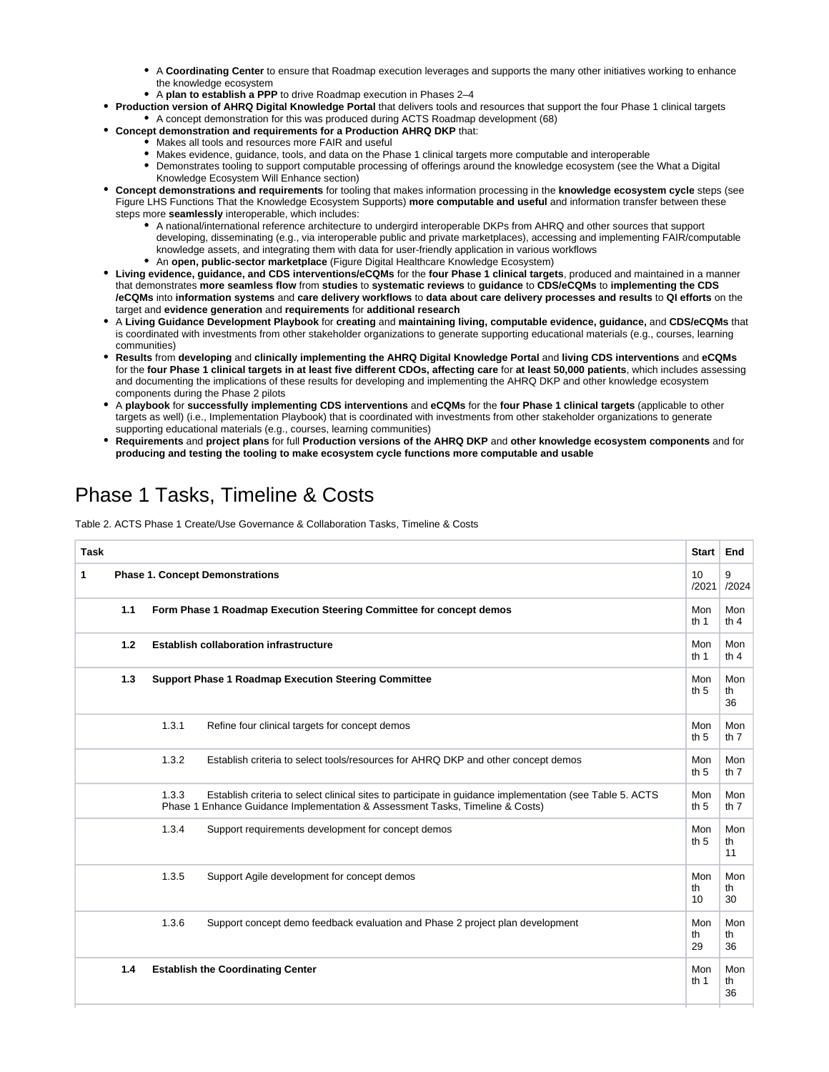- A **Coordinating Center** to ensure that Roadmap execution leverages and supports the many other initiatives working to enhance the knowledge ecosystem
- A **plan to establish a PPP** to drive Roadmap execution in Phases 2–4
- **Production version of AHRQ Digital Knowledge Portal** that delivers tools and resources that support the four Phase 1 clinical targets A concept demonstration for this was produced during ACTS Roadmap development (68)
- **Concept demonstration and requirements for a Production AHRQ DKP** that:
	- Makes all tools and resources more FAIR and useful
		- Makes evidence, guidance, tools, and data on the Phase 1 clinical targets more computable and interoperable
	- Demonstrates tooling to support computable processing of offerings around the knowledge ecosystem (see the What a Digital Knowledge Ecosystem Will Enhance section)
- **Concept demonstrations and requirements** for tooling that makes information processing in the **knowledge ecosystem cycle** steps (see Figure LHS Functions That the Knowledge Ecosystem Supports) **more computable and useful** and information transfer between these steps more **seamlessly** interoperable, which includes:
	- A national/international reference architecture to undergird interoperable DKPs from AHRQ and other sources that support developing, disseminating (e.g., via interoperable public and private marketplaces), accessing and implementing FAIR/computable knowledge assets, and integrating them with data for user-friendly application in various workflows
	- An **open, public-sector marketplace** (Figure Digital Healthcare Knowledge Ecosystem)
- **Living evidence, guidance, and CDS interventions/eCQMs** for the **four Phase 1 clinical targets**, produced and maintained in a manner that demonstrates **more seamless flow** from **studies** to **systematic reviews** to **guidance** to **CDS/eCQMs** to **implementing the CDS /eCQMs** into **information systems** and **care delivery workflows** to **data about care delivery processes and results** to **QI efforts** on the target and **evidence generation** and **requirements** for **additional research**
- A **Living Guidance Development Playbook** for **creating** and **maintaining living, computable evidence, guidance,** and **CDS/eCQMs** that is coordinated with investments from other stakeholder organizations to generate supporting educational materials (e.g., courses, learning communities)
- **Results** from **developing** and **clinically implementing the AHRQ Digital Knowledge Portal** and **living CDS interventions** and **eCQMs** for the **four Phase 1 clinical targets in at least five different CDOs, affecting care** for **at least 50,000 patients**, which includes assessing and documenting the implications of these results for developing and implementing the AHRQ DKP and other knowledge ecosystem components during the Phase 2 pilots
- A **playbook** for **successfully implementing CDS interventions** and **eCQMs** for the **four Phase 1 clinical targets** (applicable to other targets as well) (i.e., Implementation Playbook) that is coordinated with investments from other stakeholder organizations to generate supporting educational materials (e.g., courses, learning communities)
- **Requirements** and **project plans** for full **Production versions of the AHRQ DKP** and **other knowledge ecosystem components** and for **producing and testing the tooling to make ecosystem cycle functions more computable and usable**

# <span id="page-1-0"></span>Phase 1 Tasks, Timeline & Costs

Table 2. ACTS Phase 1 Create/Use Governance & Collaboration Tasks, Timeline & Costs

| <b>Task</b> |     |       |                                                                                                                                                                                           | Start           | End             |
|-------------|-----|-------|-------------------------------------------------------------------------------------------------------------------------------------------------------------------------------------------|-----------------|-----------------|
| 1           |     |       | <b>Phase 1. Concept Demonstrations</b>                                                                                                                                                    | 10<br>/2021     | 9<br>/2024      |
|             | 1.1 |       | Form Phase 1 Roadmap Execution Steering Committee for concept demos                                                                                                                       | Mon<br>th $1$   | Mon<br>th $4$   |
|             | 1.2 |       | <b>Establish collaboration infrastructure</b>                                                                                                                                             | Mon<br>th $1$   | Mon<br>th $4$   |
|             | 1.3 |       | <b>Support Phase 1 Roadmap Execution Steering Committee</b>                                                                                                                               | Mon<br>th $5$   | Mon<br>th<br>36 |
|             |     | 1.3.1 | Refine four clinical targets for concept demos                                                                                                                                            | Mon<br>th $5$   | Mon<br>th $7$   |
|             |     | 1.3.2 | Establish criteria to select tools/resources for AHRQ DKP and other concept demos                                                                                                         | Mon<br>th $5$   | Mon<br>th $7$   |
|             |     | 1.3.3 | Establish criteria to select clinical sites to participate in quidance implementation (see Table 5. ACTS<br>Phase 1 Enhance Guidance Implementation & Assessment Tasks, Timeline & Costs) | Mon<br>th $5$   | Mon<br>th $7$   |
|             |     | 1.3.4 | Support requirements development for concept demos                                                                                                                                        | Mon<br>th $5$   | Mon<br>th<br>11 |
|             |     | 1.3.5 | Support Agile development for concept demos                                                                                                                                               | Mon<br>th<br>10 | Mon<br>th<br>30 |
|             |     | 1.3.6 | Support concept demo feedback evaluation and Phase 2 project plan development                                                                                                             | Mon<br>th<br>29 | Mon<br>th<br>36 |
|             | 1.4 |       | <b>Establish the Coordinating Center</b>                                                                                                                                                  | Mon<br>th $1$   | Mon<br>th<br>36 |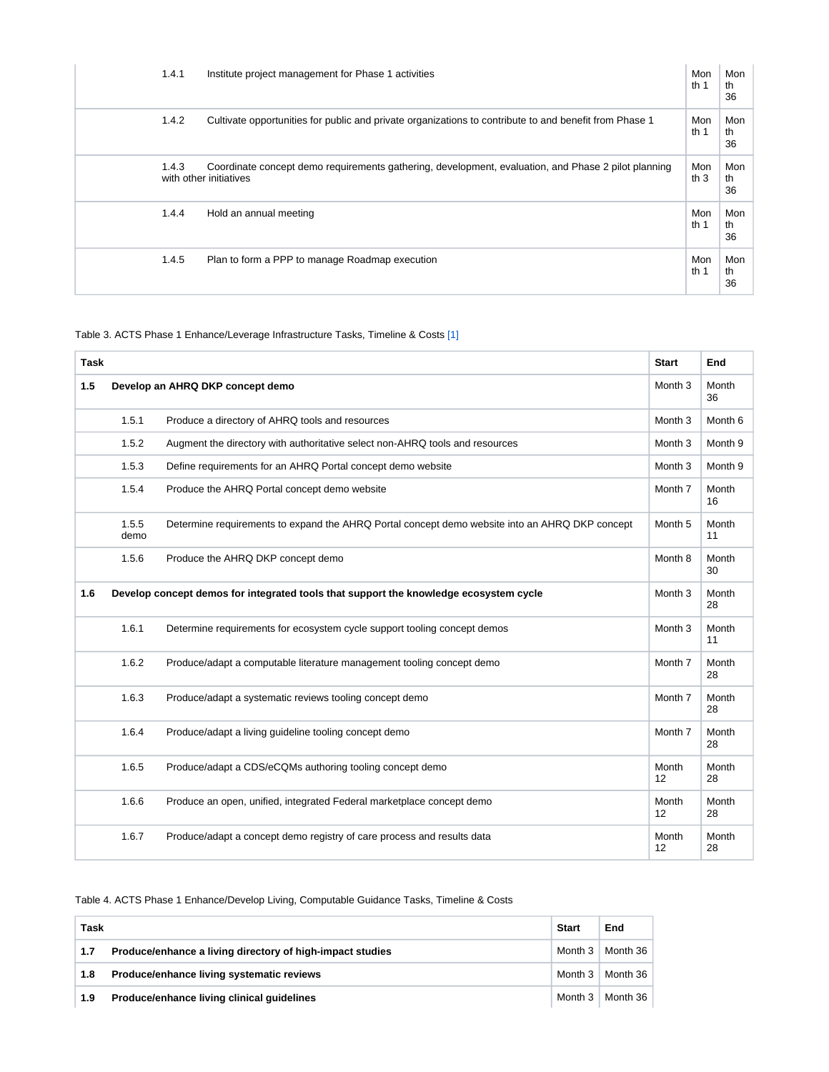| 1.4.1 | Institute project management for Phase 1 activities                                                                           | Mon<br>th $1$ | Mon<br>th<br>36 |
|-------|-------------------------------------------------------------------------------------------------------------------------------|---------------|-----------------|
| 1.4.2 | Cultivate opportunities for public and private organizations to contribute to and benefit from Phase 1                        | Mon<br>th $1$ | Mon<br>th<br>36 |
| 1.4.3 | Coordinate concept demo requirements gathering, development, evaluation, and Phase 2 pilot planning<br>with other initiatives | Mon<br>th $3$ | Mon<br>th<br>36 |
| 1.4.4 | Hold an annual meeting                                                                                                        | Mon<br>th $1$ | Mon<br>th<br>36 |
| 1.4.5 | Plan to form a PPP to manage Roadmap execution                                                                                | Mon<br>th $1$ | Mon<br>th<br>36 |

#### <span id="page-2-0"></span>Table 3. ACTS Phase 1 Enhance/Leverage Infrastructure Tasks, Timeline & Costs [\[1\]](#page-15-0)

| <b>Task</b> |               |                                                                                                | <b>Start</b>       | End                |
|-------------|---------------|------------------------------------------------------------------------------------------------|--------------------|--------------------|
| 1.5         |               | Develop an AHRQ DKP concept demo                                                               | Month <sub>3</sub> | Month<br>36        |
|             | 1.5.1         | Produce a directory of AHRQ tools and resources                                                | Month <sub>3</sub> | Month <sub>6</sub> |
|             | 1.5.2         | Augment the directory with authoritative select non-AHRQ tools and resources                   | Month <sub>3</sub> | Month 9            |
|             | 1.5.3         | Define requirements for an AHRQ Portal concept demo website                                    | Month <sub>3</sub> | Month 9            |
|             | 1.5.4         | Produce the AHRQ Portal concept demo website                                                   | Month <sub>7</sub> | Month<br>16        |
|             | 1.5.5<br>demo | Determine requirements to expand the AHRQ Portal concept demo website into an AHRQ DKP concept | Month <sub>5</sub> | Month<br>11        |
|             | 1.5.6         | Produce the AHRQ DKP concept demo                                                              | Month <sub>8</sub> | Month<br>30        |
| 1.6         |               | Develop concept demos for integrated tools that support the knowledge ecosystem cycle          | Month <sub>3</sub> | Month<br>28        |
|             | 1.6.1         | Determine requirements for ecosystem cycle support tooling concept demos                       | Month <sub>3</sub> | Month<br>11        |
|             | 1.6.2         | Produce/adapt a computable literature management tooling concept demo                          | Month <sub>7</sub> | Month<br>28        |
|             | 1.6.3         | Produce/adapt a systematic reviews tooling concept demo                                        | Month 7            | Month<br>28        |
|             | 1.6.4         | Produce/adapt a living guideline tooling concept demo                                          | Month <sub>7</sub> | Month<br>28        |
|             | 1.6.5         | Produce/adapt a CDS/eCQMs authoring tooling concept demo                                       | Month<br>12        | Month<br>28        |
|             | 1.6.6         | Produce an open, unified, integrated Federal marketplace concept demo                          | Month<br>12        | Month<br>28        |
|             | 1.6.7         | Produce/adapt a concept demo registry of care process and results data                         | Month<br>12        | Month<br>28        |

#### Table 4. ACTS Phase 1 Enhance/Develop Living, Computable Guidance Tasks, Timeline & Costs

| Task |                                                           |            | End      |
|------|-----------------------------------------------------------|------------|----------|
| 1.7  | Produce/enhance a living directory of high-impact studies | Month 3    | Month 36 |
| 1.8  | Produce/enhance living systematic reviews                 | Month 3    | Month 36 |
| 1.9  | Produce/enhance living clinical quidelines                | Month $31$ | Month 36 |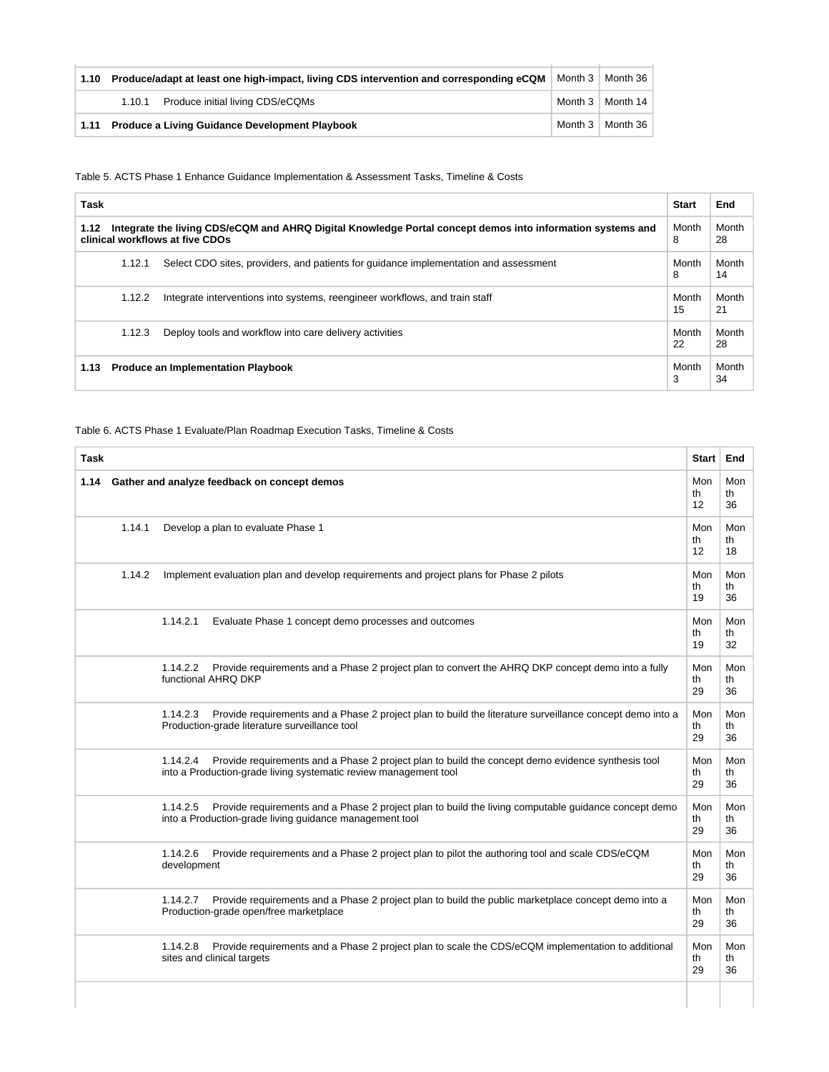| 1.10 | Produce/adapt at least one high-impact, living CDS intervention and corresponding eCQM | Month 3   Month 36        |
|------|----------------------------------------------------------------------------------------|---------------------------|
|      | 1.10.1 Produce initial living CDS/eCQMs                                                | Month $3 \mid$ Month 14   |
|      | 1.11 Produce a Living Guidance Development Playbook                                    | Month $3 \mid$ Month $36$ |

Table 5. ACTS Phase 1 Enhance Guidance Implementation & Assessment Tasks, Timeline & Costs

| Task                                                                                                                                                  |        |                                                                                      | <b>Start</b> | End         |
|-------------------------------------------------------------------------------------------------------------------------------------------------------|--------|--------------------------------------------------------------------------------------|--------------|-------------|
| Integrate the living CDS/eCQM and AHRQ Digital Knowledge Portal concept demos into information systems and<br>1.12<br>clinical workflows at five CDOs |        | Month<br>8                                                                           | Month<br>28  |             |
|                                                                                                                                                       | 1.12.1 | Select CDO sites, providers, and patients for quidance implementation and assessment | Month<br>8   | Month<br>14 |
|                                                                                                                                                       | 1.12.2 | Integrate interventions into systems, reengineer workflows, and train staff          | Month<br>15  | Month<br>21 |
|                                                                                                                                                       | 1.12.3 | Deploy tools and workflow into care delivery activities                              | Month<br>22  | Month<br>28 |
| <b>Produce an Implementation Playbook</b><br>1.13                                                                                                     |        | Month<br>3                                                                           | Month<br>34  |             |

#### Table 6. ACTS Phase 1 Evaluate/Plan Roadmap Execution Tasks, Timeline & Costs

| <b>Task</b> |        |                                                                                                                                                                                   | Start           | End             |
|-------------|--------|-----------------------------------------------------------------------------------------------------------------------------------------------------------------------------------|-----------------|-----------------|
| 1.14        |        | Gather and analyze feedback on concept demos                                                                                                                                      | Mon<br>th<br>12 | Mon<br>th<br>36 |
|             | 1.14.1 | Develop a plan to evaluate Phase 1                                                                                                                                                | Mon<br>th<br>12 | Mon<br>th<br>18 |
|             | 1.14.2 | Implement evaluation plan and develop requirements and project plans for Phase 2 pilots                                                                                           | Mon<br>th<br>19 | Mon<br>th<br>36 |
|             |        | 1.14.2.1<br>Evaluate Phase 1 concept demo processes and outcomes                                                                                                                  | Mon<br>th<br>19 | Mon<br>th<br>32 |
|             |        | 1.14.2.2<br>Provide requirements and a Phase 2 project plan to convert the AHRQ DKP concept demo into a fully<br>functional AHRQ DKP                                              | Mon<br>th<br>29 | Mon<br>th<br>36 |
|             |        | Provide requirements and a Phase 2 project plan to build the literature surveillance concept demo into a<br>1.14.2.3<br>Production-grade literature surveillance tool             | Mon<br>th<br>29 | Mon<br>th<br>36 |
|             |        | Provide requirements and a Phase 2 project plan to build the concept demo evidence synthesis tool<br>1.14.2.4<br>into a Production-grade living systematic review management tool | Mon<br>th<br>29 | Mon<br>th<br>36 |
|             |        | Provide requirements and a Phase 2 project plan to build the living computable guidance concept demo<br>1.14.2.5<br>into a Production-grade living guidance management tool       | Mon<br>th<br>29 | Mon<br>th<br>36 |
|             |        | 1.14.2.6<br>Provide requirements and a Phase 2 project plan to pilot the authoring tool and scale CDS/eCQM<br>development                                                         | Mon<br>th<br>29 | Mon<br>th<br>36 |
|             |        | Provide requirements and a Phase 2 project plan to build the public marketplace concept demo into a<br>1.14.2.7<br>Production-grade open/free marketplace                         | Mon<br>th<br>29 | Mon<br>th<br>36 |
|             |        | 1.14.2.8<br>Provide requirements and a Phase 2 project plan to scale the CDS/eCQM implementation to additional<br>sites and clinical targets                                      | Mon<br>th<br>29 | Mon<br>th<br>36 |
|             |        |                                                                                                                                                                                   |                 |                 |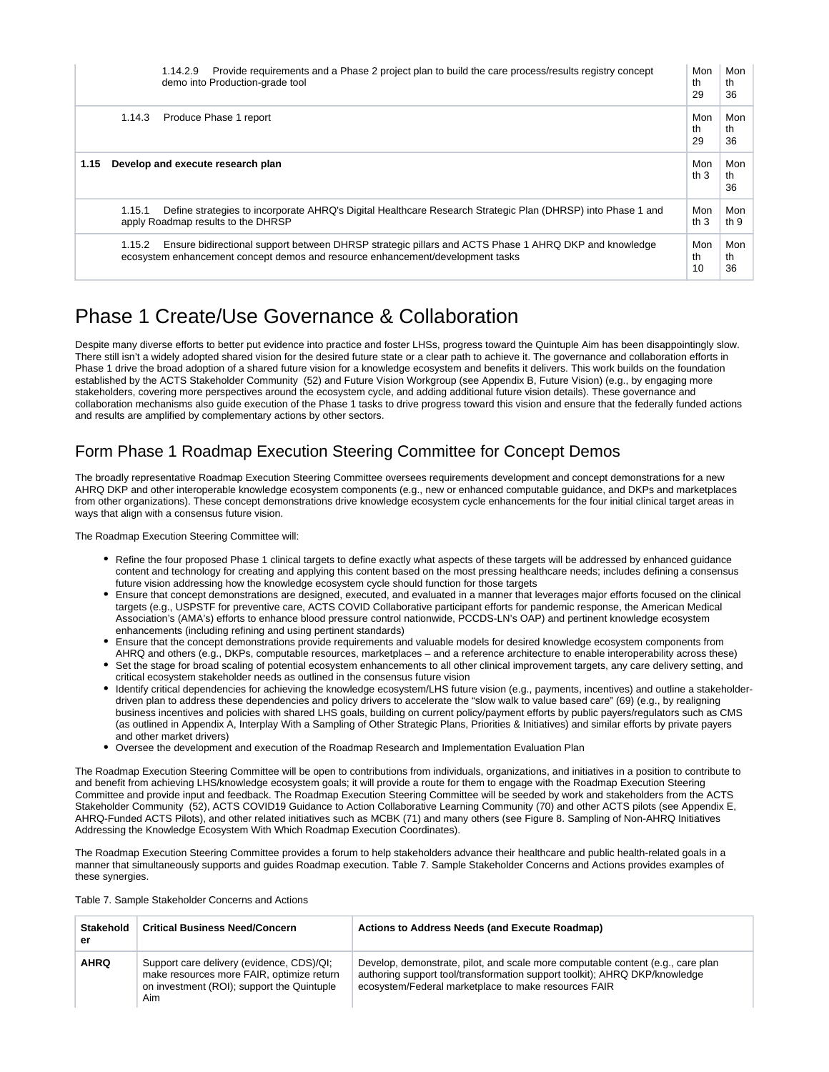|      |        | Provide requirements and a Phase 2 project plan to build the care process/results registry concept<br>1.14.2.9<br>demo into Production-grade tool                                      | Mon<br>th<br>29 | Mon<br>th<br>36 |
|------|--------|----------------------------------------------------------------------------------------------------------------------------------------------------------------------------------------|-----------------|-----------------|
|      | 1.14.3 | Produce Phase 1 report                                                                                                                                                                 | Mon<br>th<br>29 | Mon<br>th<br>36 |
| 1.15 |        | Develop and execute research plan                                                                                                                                                      | Mon<br>th $3$   | Mon<br>th<br>36 |
|      | 1.15.1 | Define strategies to incorporate AHRQ's Digital Healthcare Research Strategic Plan (DHRSP) into Phase 1 and<br>apply Roadmap results to the DHRSP                                      | Mon<br>th $3$   | Mon<br>th $9$   |
|      | 1.15.2 | Ensure bidirectional support between DHRSP strategic pillars and ACTS Phase 1 AHRQ DKP and knowledge<br>ecosystem enhancement concept demos and resource enhancement/development tasks | Mon<br>th<br>10 | Mon<br>th<br>36 |

# <span id="page-4-0"></span>Phase 1 Create/Use Governance & Collaboration

Despite many diverse efforts to better put evidence into practice and foster LHSs, progress toward the Quintuple Aim has been disappointingly slow. There still isn't a widely adopted shared vision for the desired future state or a clear path to achieve it. The governance and collaboration efforts in Phase 1 drive the broad adoption of a shared future vision for a knowledge ecosystem and benefits it delivers. This work builds on the foundation established by the ACTS Stakeholder Community (52) and Future Vision Workgroup (see Appendix B, Future Vision) (e.g., by engaging more stakeholders, covering more perspectives around the ecosystem cycle, and adding additional future vision details). These governance and collaboration mechanisms also guide execution of the Phase 1 tasks to drive progress toward this vision and ensure that the federally funded actions and results are amplified by complementary actions by other sectors.

# <span id="page-4-1"></span>Form Phase 1 Roadmap Execution Steering Committee for Concept Demos

The broadly representative Roadmap Execution Steering Committee oversees requirements development and concept demonstrations for a new AHRQ DKP and other interoperable knowledge ecosystem components (e.g., new or enhanced computable guidance, and DKPs and marketplaces from other organizations). These concept demonstrations drive knowledge ecosystem cycle enhancements for the four initial clinical target areas in ways that align with a consensus future vision.

The Roadmap Execution Steering Committee will:

- Refine the four proposed Phase 1 clinical targets to define exactly what aspects of these targets will be addressed by enhanced guidance content and technology for creating and applying this content based on the most pressing healthcare needs; includes defining a consensus future vision addressing how the knowledge ecosystem cycle should function for those targets
- Ensure that concept demonstrations are designed, executed, and evaluated in a manner that leverages major efforts focused on the clinical targets (e.g., USPSTF for preventive care, ACTS COVID Collaborative participant efforts for pandemic response, the American Medical Association's (AMA's) efforts to enhance blood pressure control nationwide, PCCDS-LN's OAP) and pertinent knowledge ecosystem enhancements (including refining and using pertinent standards)
- Ensure that the concept demonstrations provide requirements and valuable models for desired knowledge ecosystem components from AHRQ and others (e.g., DKPs, computable resources, marketplaces – and a reference architecture to enable interoperability across these) Set the stage for broad scaling of potential ecosystem enhancements to all other clinical improvement targets, any care delivery setting, and
- critical ecosystem stakeholder needs as outlined in the consensus future vision
- Identify critical dependencies for achieving the knowledge ecosystem/LHS future vision (e.g., payments, incentives) and outline a stakeholderdriven plan to address these dependencies and policy drivers to accelerate the "slow walk to value based care" (69) (e.g., by realigning business incentives and policies with shared LHS goals, building on current policy/payment efforts by public payers/regulators such as CMS (as outlined in Appendix A, Interplay With a Sampling of Other Strategic Plans, Priorities & Initiatives) and similar efforts by private payers and other market drivers)
- Oversee the development and execution of the Roadmap Research and Implementation Evaluation Plan

The Roadmap Execution Steering Committee will be open to contributions from individuals, organizations, and initiatives in a position to contribute to and benefit from achieving LHS/knowledge ecosystem goals; it will provide a route for them to engage with the Roadmap Execution Steering Committee and provide input and feedback. The Roadmap Execution Steering Committee will be seeded by work and stakeholders from the ACTS Stakeholder Community (52), ACTS COVID19 Guidance to Action Collaborative Learning Community (70) and other ACTS pilots (see Appendix E, AHRQ-Funded ACTS Pilots), and other related initiatives such as MCBK (71) and many others (see Figure 8. Sampling of Non-AHRQ Initiatives Addressing the Knowledge Ecosystem With Which Roadmap Execution Coordinates).

The Roadmap Execution Steering Committee provides a forum to help stakeholders advance their healthcare and public health-related goals in a manner that simultaneously supports and guides Roadmap execution. Table 7. Sample Stakeholder Concerns and Actions provides examples of these synergies.

Table 7. Sample Stakeholder Concerns and Actions

| Stakehold<br>er | <b>Critical Business Need/Concern</b>                                                                                                       | Actions to Address Needs (and Execute Roadmap)                                                                                                                                                                        |
|-----------------|---------------------------------------------------------------------------------------------------------------------------------------------|-----------------------------------------------------------------------------------------------------------------------------------------------------------------------------------------------------------------------|
| <b>AHRQ</b>     | Support care delivery (evidence, CDS)/QI;<br>make resources more FAIR, optimize return<br>on investment (ROI); support the Quintuple<br>Aim | Develop, demonstrate, pilot, and scale more computable content (e.g., care plan<br>authoring support tool/transformation support toolkit); AHRQ DKP/knowledge<br>ecosystem/Federal marketplace to make resources FAIR |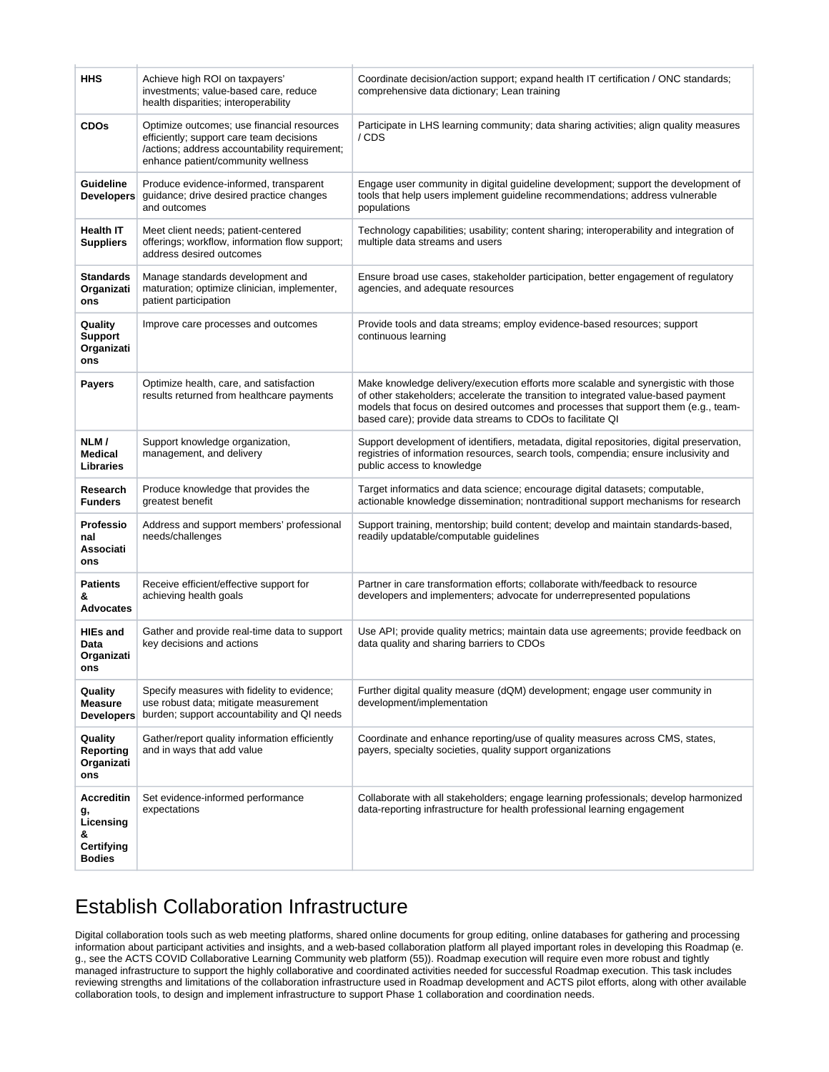| HHS                                                                      | Achieve high ROI on taxpayers'<br>investments; value-based care, reduce<br>health disparities; interoperability                                                               | Coordinate decision/action support; expand health IT certification / ONC standards;<br>comprehensive data dictionary; Lean training                                                                                                                                                                                          |
|--------------------------------------------------------------------------|-------------------------------------------------------------------------------------------------------------------------------------------------------------------------------|------------------------------------------------------------------------------------------------------------------------------------------------------------------------------------------------------------------------------------------------------------------------------------------------------------------------------|
| <b>CDOs</b>                                                              | Optimize outcomes; use financial resources<br>efficiently; support care team decisions<br>/actions; address accountability requirement;<br>enhance patient/community wellness | Participate in LHS learning community; data sharing activities; align quality measures<br>/CDS                                                                                                                                                                                                                               |
| Guideline<br><b>Developers</b>                                           | Produce evidence-informed, transparent<br>guidance; drive desired practice changes<br>and outcomes                                                                            | Engage user community in digital guideline development; support the development of<br>tools that help users implement guideline recommendations; address vulnerable<br>populations                                                                                                                                           |
| <b>Health IT</b><br><b>Suppliers</b>                                     | Meet client needs; patient-centered<br>offerings; workflow, information flow support;<br>address desired outcomes                                                             | Technology capabilities; usability; content sharing; interoperability and integration of<br>multiple data streams and users                                                                                                                                                                                                  |
| <b>Standards</b><br>Organizati<br>ons                                    | Manage standards development and<br>maturation; optimize clinician, implementer,<br>patient participation                                                                     | Ensure broad use cases, stakeholder participation, better engagement of regulatory<br>agencies, and adequate resources                                                                                                                                                                                                       |
| Quality<br><b>Support</b><br>Organizati<br>ons                           | Improve care processes and outcomes                                                                                                                                           | Provide tools and data streams; employ evidence-based resources; support<br>continuous learning                                                                                                                                                                                                                              |
| <b>Payers</b>                                                            | Optimize health, care, and satisfaction<br>results returned from healthcare payments                                                                                          | Make knowledge delivery/execution efforts more scalable and synergistic with those<br>of other stakeholders; accelerate the transition to integrated value-based payment<br>models that focus on desired outcomes and processes that support them (e.g., team-<br>based care); provide data streams to CDOs to facilitate QI |
| NLM/<br><b>Medical</b><br><b>Libraries</b>                               | Support knowledge organization,<br>management, and delivery                                                                                                                   | Support development of identifiers, metadata, digital repositories, digital preservation,<br>registries of information resources, search tools, compendia; ensure inclusivity and<br>public access to knowledge                                                                                                              |
| Research<br><b>Funders</b>                                               | Produce knowledge that provides the<br>greatest benefit                                                                                                                       | Target informatics and data science; encourage digital datasets; computable,<br>actionable knowledge dissemination; nontraditional support mechanisms for research                                                                                                                                                           |
| <b>Professio</b><br>nal<br>Associati<br>ons                              | Address and support members' professional<br>needs/challenges                                                                                                                 | Support training, mentorship; build content; develop and maintain standards-based,<br>readily updatable/computable guidelines                                                                                                                                                                                                |
| <b>Patients</b><br>&<br>Advocates                                        | Receive efficient/effective support for<br>achieving health goals                                                                                                             | Partner in care transformation efforts; collaborate with/feedback to resource<br>developers and implementers; advocate for underrepresented populations                                                                                                                                                                      |
| <b>HIEs and</b><br>Data<br>Organizati<br>ons                             | Gather and provide real-time data to support<br>key decisions and actions                                                                                                     | Use API; provide quality metrics; maintain data use agreements; provide feedback on<br>data quality and sharing barriers to CDOs                                                                                                                                                                                             |
| Quality<br><b>Measure</b><br>Developers                                  | Specify measures with fidelity to evidence;<br>use robust data; mitigate measurement<br>burden; support accountability and QI needs                                           | Further digital quality measure (dQM) development; engage user community in<br>development/implementation                                                                                                                                                                                                                    |
| Quality<br><b>Reporting</b><br>Organizati<br>ons                         | Gather/report quality information efficiently<br>and in ways that add value                                                                                                   | Coordinate and enhance reporting/use of quality measures across CMS, states,<br>payers, specialty societies, quality support organizations                                                                                                                                                                                   |
| <b>Accreditin</b><br>g,<br>Licensing<br>&<br>Certifying<br><b>Bodies</b> | Set evidence-informed performance<br>expectations                                                                                                                             | Collaborate with all stakeholders; engage learning professionals; develop harmonized<br>data-reporting infrastructure for health professional learning engagement                                                                                                                                                            |

# <span id="page-5-0"></span>Establish Collaboration Infrastructure

<span id="page-5-1"></span>Digital collaboration tools such as web meeting platforms, shared online documents for group editing, online databases for gathering and processing information about participant activities and insights, and a web-based collaboration platform all played important roles in developing this Roadmap (e. g., see the ACTS COVID Collaborative Learning Community web platform (55)). Roadmap execution will require even more robust and tightly managed infrastructure to support the highly collaborative and coordinated activities needed for successful Roadmap execution. This task includes reviewing strengths and limitations of the collaboration infrastructure used in Roadmap development and ACTS pilot efforts, along with other available collaboration tools, to design and implement infrastructure to support Phase 1 collaboration and coordination needs.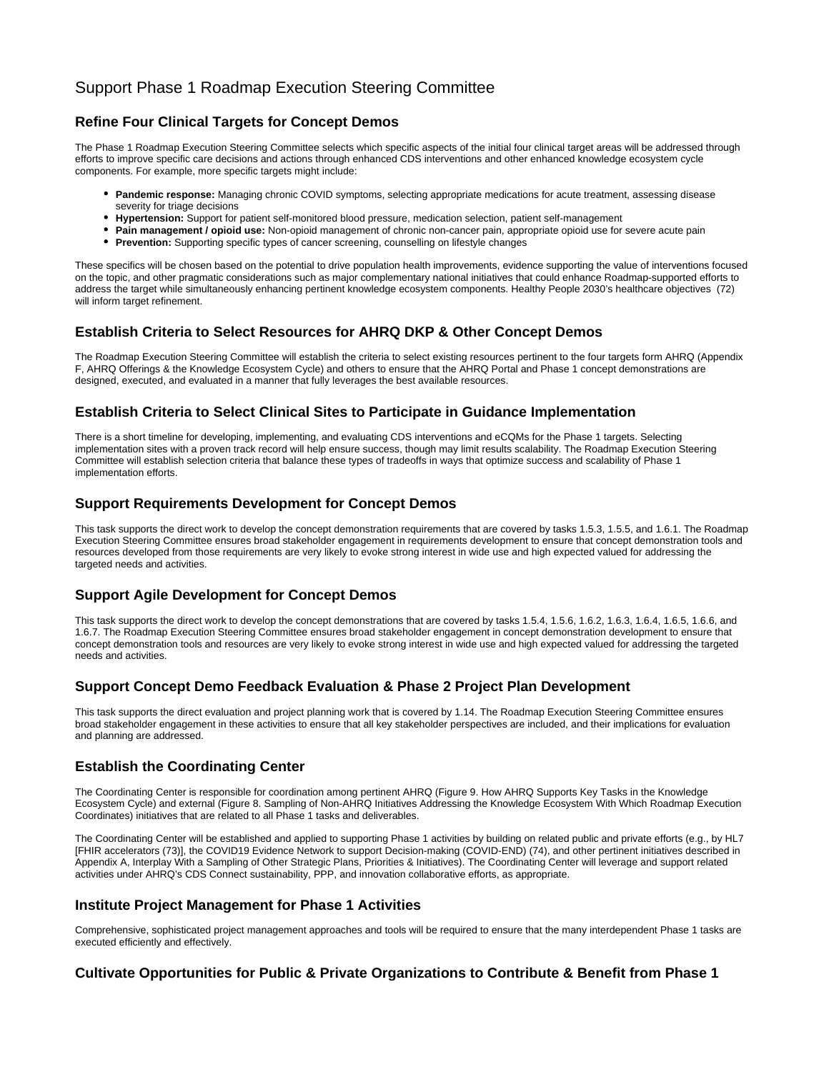### Support Phase 1 Roadmap Execution Steering Committee

#### **Refine Four Clinical Targets for Concept Demos**

The Phase 1 Roadmap Execution Steering Committee selects which specific aspects of the initial four clinical target areas will be addressed through efforts to improve specific care decisions and actions through enhanced CDS interventions and other enhanced knowledge ecosystem cycle components. For example, more specific targets might include:

- **Pandemic response:** Managing chronic COVID symptoms, selecting appropriate medications for acute treatment, assessing disease severity for triage decisions
- **Hypertension:** Support for patient self-monitored blood pressure, medication selection, patient self-management
- **Pain management / opioid use:** Non-opioid management of chronic non-cancer pain, appropriate opioid use for severe acute pain
- **Prevention:** Supporting specific types of cancer screening, counselling on lifestyle changes

These specifics will be chosen based on the potential to drive population health improvements, evidence supporting the value of interventions focused on the topic, and other pragmatic considerations such as major complementary national initiatives that could enhance Roadmap-supported efforts to address the target while simultaneously enhancing pertinent knowledge ecosystem components. Healthy People 2030's healthcare objectives (72) will inform target refinement.

#### **Establish Criteria to Select Resources for AHRQ DKP & Other Concept Demos**

The Roadmap Execution Steering Committee will establish the criteria to select existing resources pertinent to the four targets form AHRQ (Appendix F, AHRQ Offerings & the Knowledge Ecosystem Cycle) and others to ensure that the AHRQ Portal and Phase 1 concept demonstrations are designed, executed, and evaluated in a manner that fully leverages the best available resources.

#### **Establish Criteria to Select Clinical Sites to Participate in Guidance Implementation**

There is a short timeline for developing, implementing, and evaluating CDS interventions and eCQMs for the Phase 1 targets. Selecting implementation sites with a proven track record will help ensure success, though may limit results scalability. The Roadmap Execution Steering Committee will establish selection criteria that balance these types of tradeoffs in ways that optimize success and scalability of Phase 1 implementation efforts.

#### **Support Requirements Development for Concept Demos**

This task supports the direct work to develop the concept demonstration requirements that are covered by tasks 1.5.3, 1.5.5, and 1.6.1. The Roadmap Execution Steering Committee ensures broad stakeholder engagement in requirements development to ensure that concept demonstration tools and resources developed from those requirements are very likely to evoke strong interest in wide use and high expected valued for addressing the targeted needs and activities.

#### **Support Agile Development for Concept Demos**

This task supports the direct work to develop the concept demonstrations that are covered by tasks 1.5.4, 1.5.6, 1.6.2, 1.6.3, 1.6.4, 1.6.5, 1.6.6, and 1.6.7. The Roadmap Execution Steering Committee ensures broad stakeholder engagement in concept demonstration development to ensure that concept demonstration tools and resources are very likely to evoke strong interest in wide use and high expected valued for addressing the targeted needs and activities.

#### **Support Concept Demo Feedback Evaluation & Phase 2 Project Plan Development**

This task supports the direct evaluation and project planning work that is covered by 1.14. The Roadmap Execution Steering Committee ensures broad stakeholder engagement in these activities to ensure that all key stakeholder perspectives are included, and their implications for evaluation and planning are addressed.

#### **Establish the Coordinating Center**

The Coordinating Center is responsible for coordination among pertinent AHRQ (Figure 9. How AHRQ Supports Key Tasks in the Knowledge Ecosystem Cycle) and external (Figure 8. Sampling of Non-AHRQ Initiatives Addressing the Knowledge Ecosystem With Which Roadmap Execution Coordinates) initiatives that are related to all Phase 1 tasks and deliverables.

The Coordinating Center will be established and applied to supporting Phase 1 activities by building on related public and private efforts (e.g., by HL7 [FHIR accelerators (73)], the COVID19 Evidence Network to support Decision-making (COVID-END) (74), and other pertinent initiatives described in Appendix A, Interplay With a Sampling of Other Strategic Plans, Priorities & Initiatives). The Coordinating Center will leverage and support related activities under AHRQ's CDS Connect sustainability, PPP, and innovation collaborative efforts, as appropriate.

#### **Institute Project Management for Phase 1 Activities**

Comprehensive, sophisticated project management approaches and tools will be required to ensure that the many interdependent Phase 1 tasks are executed efficiently and effectively.

#### **Cultivate Opportunities for Public & Private Organizations to Contribute & Benefit from Phase 1**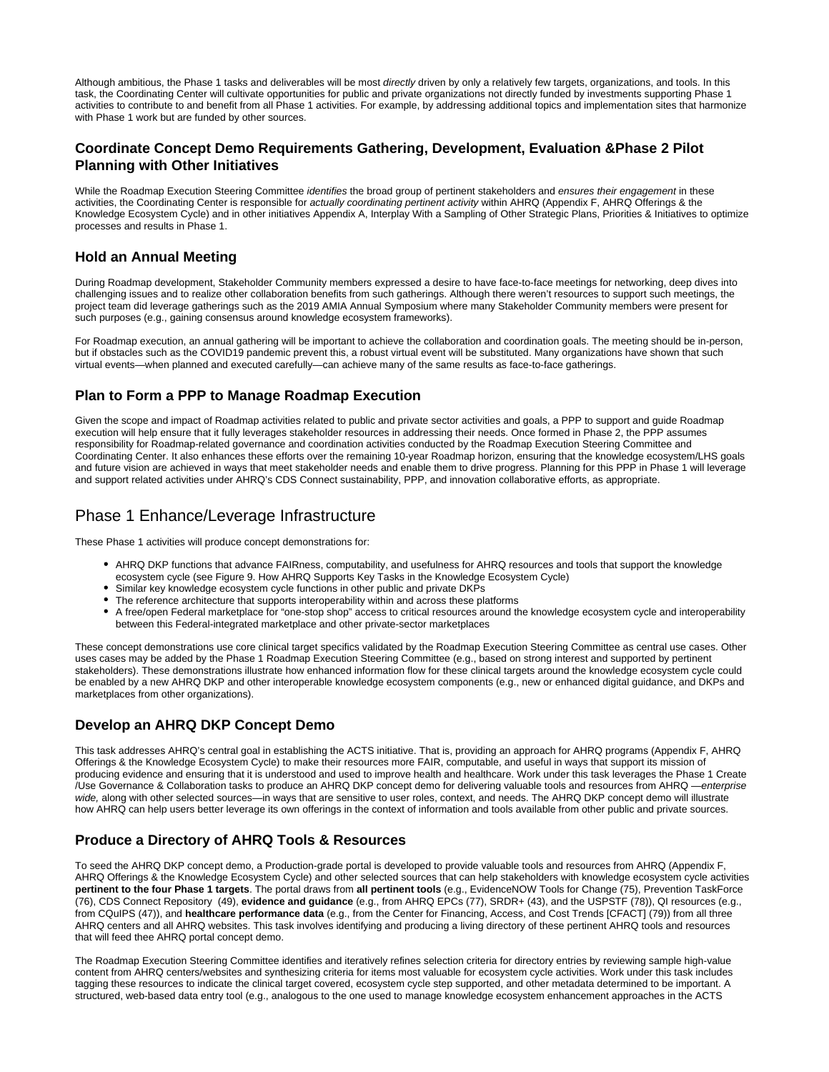Although ambitious, the Phase 1 tasks and deliverables will be most directly driven by only a relatively few targets, organizations, and tools. In this task, the Coordinating Center will cultivate opportunities for public and private organizations not directly funded by investments supporting Phase 1 activities to contribute to and benefit from all Phase 1 activities. For example, by addressing additional topics and implementation sites that harmonize with Phase 1 work but are funded by other sources.

#### **Coordinate Concept Demo Requirements Gathering, Development, Evaluation &Phase 2 Pilot Planning with Other Initiatives**

While the Roadmap Execution Steering Committee identifies the broad group of pertinent stakeholders and ensures their engagement in these activities, the Coordinating Center is responsible for actually coordinating pertinent activity within AHRQ (Appendix F, AHRQ Offerings & the Knowledge Ecosystem Cycle) and in other initiatives Appendix A, Interplay With a Sampling of Other Strategic Plans, Priorities & Initiatives to optimize processes and results in Phase 1.

#### **Hold an Annual Meeting**

During Roadmap development, Stakeholder Community members expressed a desire to have face-to-face meetings for networking, deep dives into challenging issues and to realize other collaboration benefits from such gatherings. Although there weren't resources to support such meetings, the project team did leverage gatherings such as the 2019 AMIA Annual Symposium where many Stakeholder Community members were present for such purposes (e.g., gaining consensus around knowledge ecosystem frameworks).

For Roadmap execution, an annual gathering will be important to achieve the collaboration and coordination goals. The meeting should be in-person, but if obstacles such as the COVID19 pandemic prevent this, a robust virtual event will be substituted. Many organizations have shown that such virtual events—when planned and executed carefully—can achieve many of the same results as face-to-face gatherings.

#### **Plan to Form a PPP to Manage Roadmap Execution**

Given the scope and impact of Roadmap activities related to public and private sector activities and goals, a PPP to support and guide Roadmap execution will help ensure that it fully leverages stakeholder resources in addressing their needs. Once formed in Phase 2, the PPP assumes responsibility for Roadmap-related governance and coordination activities conducted by the Roadmap Execution Steering Committee and Coordinating Center. It also enhances these efforts over the remaining 10-year Roadmap horizon, ensuring that the knowledge ecosystem/LHS goals and future vision are achieved in ways that meet stakeholder needs and enable them to drive progress. Planning for this PPP in Phase 1 will leverage and support related activities under AHRQ's CDS Connect sustainability, PPP, and innovation collaborative efforts, as appropriate.

#### <span id="page-7-0"></span>Phase 1 Enhance/Leverage Infrastructure

These Phase 1 activities will produce concept demonstrations for:

- AHRQ DKP functions that advance FAIRness, computability, and usefulness for AHRQ resources and tools that support the knowledge ecosystem cycle (see Figure 9. How AHRQ Supports Key Tasks in the Knowledge Ecosystem Cycle)
- Similar key knowledge ecosystem cycle functions in other public and private DKPs
- The reference architecture that supports interoperability within and across these platforms
- A free/open Federal marketplace for "one-stop shop" access to critical resources around the knowledge ecosystem cycle and interoperability between this Federal-integrated marketplace and other private-sector marketplaces

These concept demonstrations use core clinical target specifics validated by the Roadmap Execution Steering Committee as central use cases. Other uses cases may be added by the Phase 1 Roadmap Execution Steering Committee (e.g., based on strong interest and supported by pertinent stakeholders). These demonstrations illustrate how enhanced information flow for these clinical targets around the knowledge ecosystem cycle could be enabled by a new AHRQ DKP and other interoperable knowledge ecosystem components (e.g., new or enhanced digital guidance, and DKPs and marketplaces from other organizations).

#### **Develop an AHRQ DKP Concept Demo**

This task addresses AHRQ's central goal in establishing the ACTS initiative. That is, providing an approach for AHRQ programs (Appendix F, AHRQ Offerings & the Knowledge Ecosystem Cycle) to make their resources more FAIR, computable, and useful in ways that support its mission of producing evidence and ensuring that it is understood and used to improve health and healthcare. Work under this task leverages the Phase 1 Create /Use Governance & Collaboration tasks to produce an AHRQ DKP concept demo for delivering valuable tools and resources from AHRQ -enterprise wide, along with other selected sources—in ways that are sensitive to user roles, context, and needs. The AHRQ DKP concept demo will illustrate how AHRQ can help users better leverage its own offerings in the context of information and tools available from other public and private sources.

#### **Produce a Directory of AHRQ Tools & Resources**

To seed the AHRQ DKP concept demo, a Production-grade portal is developed to provide valuable tools and resources from AHRQ (Appendix F, AHRQ Offerings & the Knowledge Ecosystem Cycle) and other selected sources that can help stakeholders with knowledge ecosystem cycle activities **pertinent to the four Phase 1 targets**. The portal draws from **all pertinent tools** (e.g., EvidenceNOW Tools for Change (75), Prevention TaskForce (76), CDS Connect Repository (49), **evidence and guidance** (e.g., from AHRQ EPCs (77), SRDR+ (43), and the USPSTF (78)), QI resources (e.g., from CQuIPS (47)), and **healthcare performance data** (e.g., from the Center for Financing, Access, and Cost Trends [CFACT] (79)) from all three AHRQ centers and all AHRQ websites. This task involves identifying and producing a living directory of these pertinent AHRQ tools and resources that will feed thee AHRQ portal concept demo.

The Roadmap Execution Steering Committee identifies and iteratively refines selection criteria for directory entries by reviewing sample high-value content from AHRQ centers/websites and synthesizing criteria for items most valuable for ecosystem cycle activities. Work under this task includes tagging these resources to indicate the clinical target covered, ecosystem cycle step supported, and other metadata determined to be important. A structured, web-based data entry tool (e.g., analogous to the one used to manage knowledge ecosystem enhancement approaches in the ACTS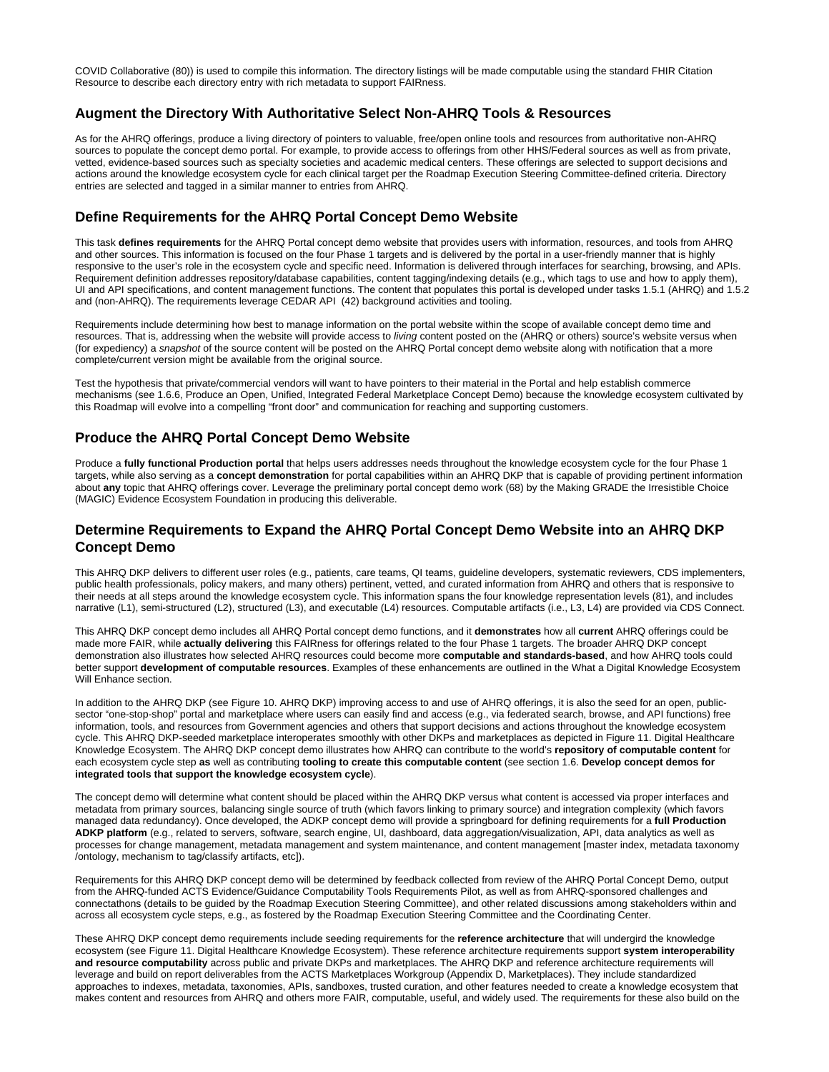COVID Collaborative (80)) is used to compile this information. The directory listings will be made computable using the standard FHIR Citation Resource to describe each directory entry with rich metadata to support FAIRness.

#### **Augment the Directory With Authoritative Select Non-AHRQ Tools & Resources**

As for the AHRQ offerings, produce a living directory of pointers to valuable, free/open online tools and resources from authoritative non-AHRQ sources to populate the concept demo portal. For example, to provide access to offerings from other HHS/Federal sources as well as from private, vetted, evidence-based sources such as specialty societies and academic medical centers. These offerings are selected to support decisions and actions around the knowledge ecosystem cycle for each clinical target per the Roadmap Execution Steering Committee-defined criteria. Directory entries are selected and tagged in a similar manner to entries from AHRQ.

#### **Define Requirements for the AHRQ Portal Concept Demo Website**

This task **defines requirements** for the AHRQ Portal concept demo website that provides users with information, resources, and tools from AHRQ and other sources. This information is focused on the four Phase 1 targets and is delivered by the portal in a user-friendly manner that is highly responsive to the user's role in the ecosystem cycle and specific need. Information is delivered through interfaces for searching, browsing, and APIs. Requirement definition addresses repository/database capabilities, content tagging/indexing details (e.g., which tags to use and how to apply them), UI and API specifications, and content management functions. The content that populates this portal is developed under tasks 1.5.1 (AHRQ) and 1.5.2 and (non-AHRQ). The requirements leverage CEDAR API (42) background activities and tooling.

Requirements include determining how best to manage information on the portal website within the scope of available concept demo time and resources. That is, addressing when the website will provide access to living content posted on the (AHRQ or others) source's website versus when (for expediency) a snapshot of the source content will be posted on the AHRQ Portal concept demo website along with notification that a more complete/current version might be available from the original source.

Test the hypothesis that private/commercial vendors will want to have pointers to their material in the Portal and help establish commerce mechanisms (see 1.6.6, Produce an Open, Unified, Integrated Federal Marketplace Concept Demo) because the knowledge ecosystem cultivated by this Roadmap will evolve into a compelling "front door" and communication for reaching and supporting customers.

#### **Produce the AHRQ Portal Concept Demo Website**

Produce a **fully functional Production portal** that helps users addresses needs throughout the knowledge ecosystem cycle for the four Phase 1 targets, while also serving as a **concept demonstration** for portal capabilities within an AHRQ DKP that is capable of providing pertinent information about **any** topic that AHRQ offerings cover. Leverage the preliminary portal concept demo work (68) by the Making GRADE the Irresistible Choice (MAGIC) Evidence Ecosystem Foundation in producing this deliverable.

#### **Determine Requirements to Expand the AHRQ Portal Concept Demo Website into an AHRQ DKP Concept Demo**

This AHRQ DKP delivers to different user roles (e.g., patients, care teams, QI teams, guideline developers, systematic reviewers, CDS implementers, public health professionals, policy makers, and many others) pertinent, vetted, and curated information from AHRQ and others that is responsive to their needs at all steps around the knowledge ecosystem cycle. This information spans the four knowledge representation levels (81), and includes narrative (L1), semi-structured (L2), structured (L3), and executable (L4) resources. Computable artifacts (i.e., L3, L4) are provided via CDS Connect.

This AHRQ DKP concept demo includes all AHRQ Portal concept demo functions, and it **demonstrates** how all **current** AHRQ offerings could be made more FAIR, while **actually delivering** this FAIRness for offerings related to the four Phase 1 targets. The broader AHRQ DKP concept demonstration also illustrates how selected AHRQ resources could become more **computable and standards-based**, and how AHRQ tools could better support **development of computable resources**. Examples of these enhancements are outlined in the What a Digital Knowledge Ecosystem Will Enhance section.

In addition to the AHRQ DKP (see Figure 10. AHRQ DKP) improving access to and use of AHRQ offerings, it is also the seed for an open, publicsector "one-stop-shop" portal and marketplace where users can easily find and access (e.g., via federated search, browse, and API functions) free information, tools, and resources from Government agencies and others that support decisions and actions throughout the knowledge ecosystem cycle. This AHRQ DKP-seeded marketplace interoperates smoothly with other DKPs and marketplaces as depicted in Figure 11. Digital Healthcare Knowledge Ecosystem. The AHRQ DKP concept demo illustrates how AHRQ can contribute to the world's **repository of computable content** for each ecosystem cycle step **as** well as contributing **tooling to create this computable content** (see section 1.6. **Develop concept demos for integrated tools that support the knowledge ecosystem cycle**).

The concept demo will determine what content should be placed within the AHRQ DKP versus what content is accessed via proper interfaces and metadata from primary sources, balancing single source of truth (which favors linking to primary source) and integration complexity (which favors managed data redundancy). Once developed, the ADKP concept demo will provide a springboard for defining requirements for a **full Production ADKP platform** (e.g., related to servers, software, search engine, UI, dashboard, data aggregation/visualization, API, data analytics as well as processes for change management, metadata management and system maintenance, and content management [master index, metadata taxonomy /ontology, mechanism to tag/classify artifacts, etc]).

Requirements for this AHRQ DKP concept demo will be determined by feedback collected from review of the AHRQ Portal Concept Demo, output from the AHRQ-funded ACTS Evidence/Guidance Computability Tools Requirements Pilot, as well as from AHRQ-sponsored challenges and connectathons (details to be guided by the Roadmap Execution Steering Committee), and other related discussions among stakeholders within and across all ecosystem cycle steps, e.g., as fostered by the Roadmap Execution Steering Committee and the Coordinating Center.

These AHRQ DKP concept demo requirements include seeding requirements for the **reference architecture** that will undergird the knowledge ecosystem (see Figure 11. Digital Healthcare Knowledge Ecosystem). These reference architecture requirements support **system interoperability and resource computability** across public and private DKPs and marketplaces. The AHRQ DKP and reference architecture requirements will leverage and build on report deliverables from the ACTS Marketplaces Workgroup (Appendix D, Marketplaces). They include standardized approaches to indexes, metadata, taxonomies, APIs, sandboxes, trusted curation, and other features needed to create a knowledge ecosystem that makes content and resources from AHRQ and others more FAIR, computable, useful, and widely used. The requirements for these also build on the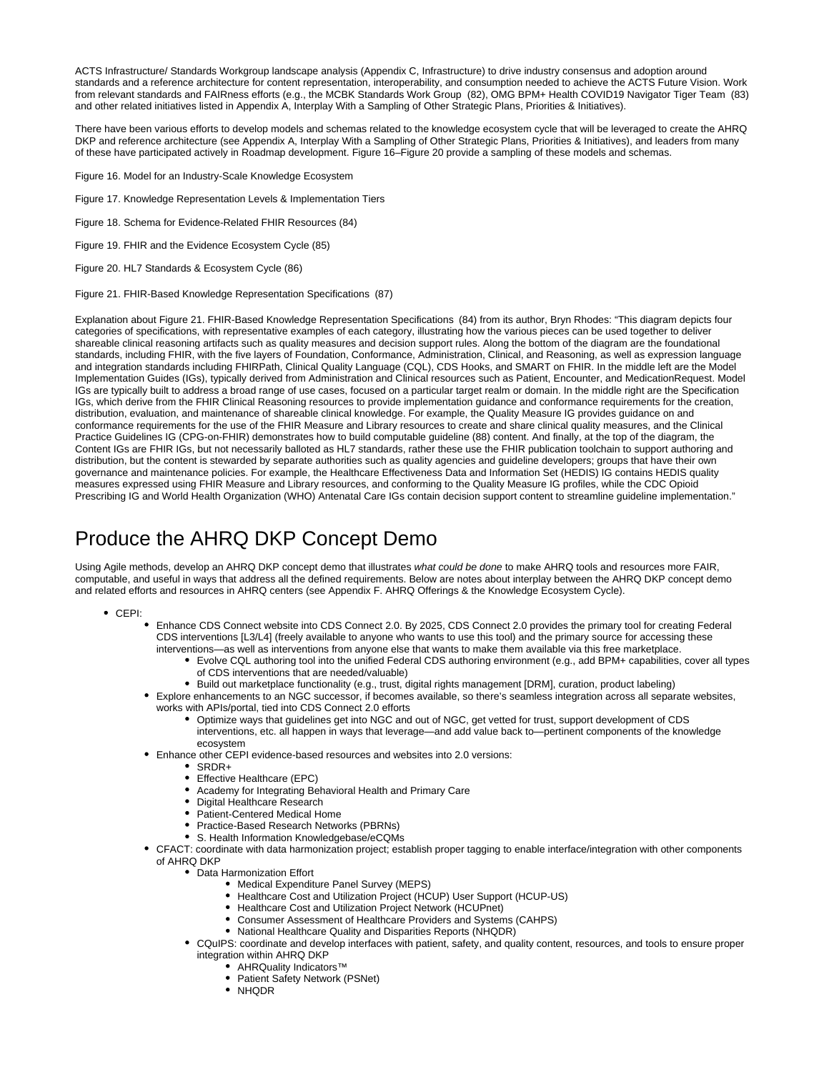ACTS Infrastructure/ Standards Workgroup landscape analysis (Appendix C, Infrastructure) to drive industry consensus and adoption around standards and a reference architecture for content representation, interoperability, and consumption needed to achieve the ACTS Future Vision. Work from relevant standards and FAIRness efforts (e.g., the MCBK Standards Work Group (82), OMG BPM+ Health COVID19 Navigator Tiger Team (83) and other related initiatives listed in Appendix A, Interplay With a Sampling of Other Strategic Plans, Priorities & Initiatives).

There have been various efforts to develop models and schemas related to the knowledge ecosystem cycle that will be leveraged to create the AHRQ DKP and reference architecture (see Appendix A, Interplay With a Sampling of Other Strategic Plans, Priorities & Initiatives), and leaders from many of these have participated actively in Roadmap development. Figure 16–Figure 20 provide a sampling of these models and schemas.

- Figure 16. Model for an Industry-Scale Knowledge Ecosystem
- Figure 17. Knowledge Representation Levels & Implementation Tiers
- Figure 18. Schema for Evidence-Related FHIR Resources (84)
- Figure 19. FHIR and the Evidence Ecosystem Cycle (85)
- Figure 20. HL7 Standards & Ecosystem Cycle (86)
- Figure 21. FHIR-Based Knowledge Representation Specifications (87)

Explanation about Figure 21. FHIR-Based Knowledge Representation Specifications (84) from its author, Bryn Rhodes: "This diagram depicts four categories of specifications, with representative examples of each category, illustrating how the various pieces can be used together to deliver shareable clinical reasoning artifacts such as quality measures and decision support rules. Along the bottom of the diagram are the foundational standards, including FHIR, with the five layers of Foundation, Conformance, Administration, Clinical, and Reasoning, as well as expression language and integration standards including FHIRPath, Clinical Quality Language (CQL), CDS Hooks, and SMART on FHIR. In the middle left are the Model Implementation Guides (IGs), typically derived from Administration and Clinical resources such as Patient, Encounter, and MedicationRequest. Model IGs are typically built to address a broad range of use cases, focused on a particular target realm or domain. In the middle right are the Specification IGs, which derive from the FHIR Clinical Reasoning resources to provide implementation guidance and conformance requirements for the creation, distribution, evaluation, and maintenance of shareable clinical knowledge. For example, the Quality Measure IG provides guidance on and conformance requirements for the use of the FHIR Measure and Library resources to create and share clinical quality measures, and the Clinical Practice Guidelines IG (CPG-on-FHIR) demonstrates how to build computable guideline (88) content. And finally, at the top of the diagram, the Content IGs are FHIR IGs, but not necessarily balloted as HL7 standards, rather these use the FHIR publication toolchain to support authoring and distribution, but the content is stewarded by separate authorities such as quality agencies and guideline developers; groups that have their own governance and maintenance policies. For example, the Healthcare Effectiveness Data and Information Set (HEDIS) IG contains HEDIS quality measures expressed using FHIR Measure and Library resources, and conforming to the Quality Measure IG profiles, while the CDC Opioid Prescribing IG and World Health Organization (WHO) Antenatal Care IGs contain decision support content to streamline guideline implementation."

# <span id="page-9-0"></span>Produce the AHRQ DKP Concept Demo

Using Agile methods, develop an AHRQ DKP concept demo that illustrates what could be done to make AHRQ tools and resources more FAIR, computable, and useful in ways that address all the defined requirements. Below are notes about interplay between the AHRQ DKP concept demo and related efforts and resources in AHRQ centers (see Appendix F. AHRQ Offerings & the Knowledge Ecosystem Cycle).

- CEPI:
	- Enhance CDS Connect website into CDS Connect 2.0. By 2025, CDS Connect 2.0 provides the primary tool for creating Federal CDS interventions [L3/L4] (freely available to anyone who wants to use this tool) and the primary source for accessing these interventions—as well as interventions from anyone else that wants to make them available via this free marketplace.
		- Evolve CQL authoring tool into the unified Federal CDS authoring environment (e.g., add BPM+ capabilities, cover all types of CDS interventions that are needed/valuable)
		- Build out marketplace functionality (e.g., trust, digital rights management [DRM], curation, product labeling)
	- Explore enhancements to an NGC successor, if becomes available, so there's seamless integration across all separate websites, works with APIs/portal, tied into CDS Connect 2.0 efforts
		- Optimize ways that guidelines get into NGC and out of NGC, get vetted for trust, support development of CDS interventions, etc. all happen in ways that leverage—and add value back to—pertinent components of the knowledge ecosystem
	- Enhance other CEPI evidence-based resources and websites into 2.0 versions:
		- SRDR+
		- Effective Healthcare (EPC)
		- Academy for Integrating Behavioral Health and Primary Care
		- Digital Healthcare Research
		- Patient-Centered Medical Home
		- Practice-Based Research Networks (PBRNs)
		- S. Health Information Knowledgebase/eCQMs
	- CFACT: coordinate with data harmonization project; establish proper tagging to enable interface/integration with other components of AHRQ DKP
		- Data Harmonization Effort
			- Medical Expenditure Panel Survey (MEPS)
			- Healthcare Cost and Utilization Project (HCUP) User Support (HCUP-US)
			- $\bullet$ Healthcare Cost and Utilization Project Network (HCUPnet)
			- Consumer Assessment of Healthcare Providers and Systems (CAHPS)
			- National Healthcare Quality and Disparities Reports (NHQDR)
		- CQuIPS: coordinate and develop interfaces with patient, safety, and quality content, resources, and tools to ensure proper integration within AHRQ DKP
			- AHRQuality Indicators™
			- Patient Safety Network (PSNet)
			- NHODR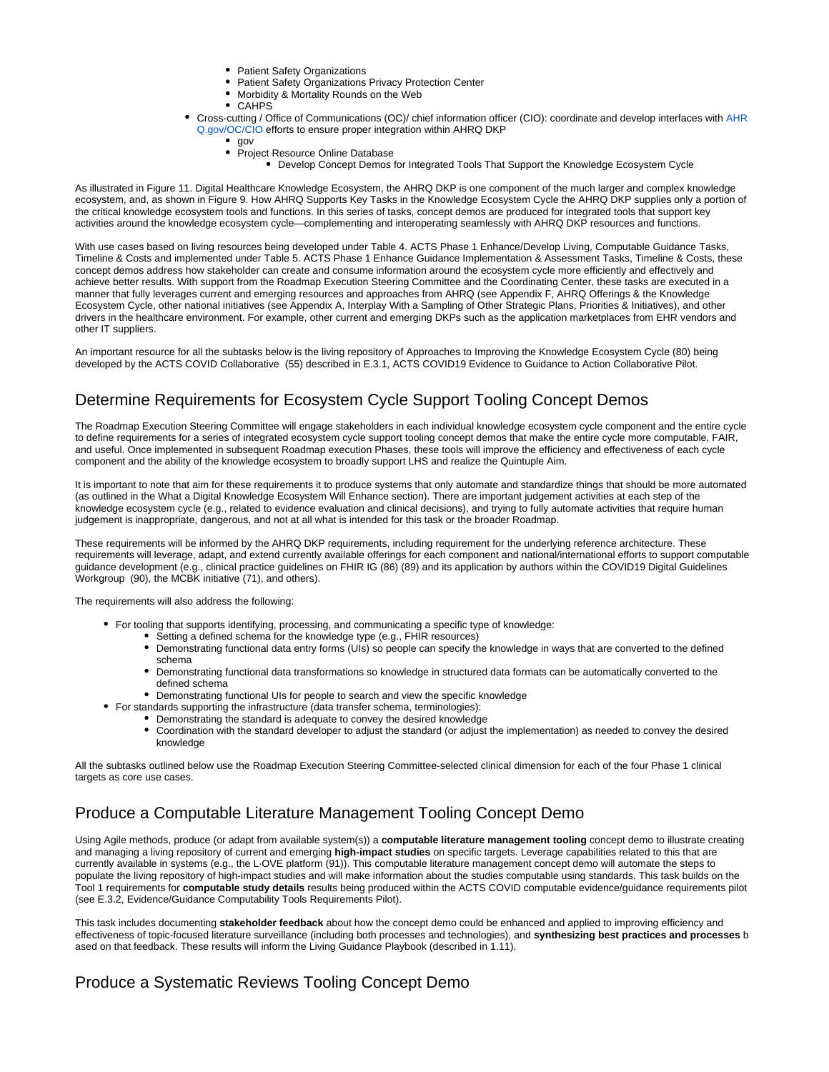- Patient Safety Organizations
- $\bullet$ Patient Safety Organizations Privacy Protection Center
- Morbidity & Mortality Rounds on the Web
- CAHPS
- Cross-cutting / Office of Communications (OC)/ chief information officer (CIO): coordinate and develop interfaces with [AHR](http://AHRQ.gov/OC/CIO) [Q.gov/OC/CIO](http://AHRQ.gov/OC/CIO) efforts to ensure proper integration within AHRQ DKP
	- gov
	- Project Resource Online Database
		- Develop Concept Demos for Integrated Tools That Support the Knowledge Ecosystem Cycle

As illustrated in Figure 11. Digital Healthcare Knowledge Ecosystem, the AHRQ DKP is one component of the much larger and complex knowledge ecosystem, and, as shown in Figure 9. How AHRQ Supports Key Tasks in the Knowledge Ecosystem Cycle the AHRQ DKP supplies only a portion of the critical knowledge ecosystem tools and functions. In this series of tasks, concept demos are produced for integrated tools that support key activities around the knowledge ecosystem cycle—complementing and interoperating seamlessly with AHRQ DKP resources and functions.

With use cases based on living resources being developed under Table 4. ACTS Phase 1 Enhance/Develop Living, Computable Guidance Tasks, Timeline & Costs and implemented under Table 5. ACTS Phase 1 Enhance Guidance Implementation & Assessment Tasks, Timeline & Costs, these concept demos address how stakeholder can create and consume information around the ecosystem cycle more efficiently and effectively and achieve better results. With support from the Roadmap Execution Steering Committee and the Coordinating Center, these tasks are executed in a manner that fully leverages current and emerging resources and approaches from AHRQ (see Appendix F, AHRQ Offerings & the Knowledge Ecosystem Cycle, other national initiatives (see Appendix A, Interplay With a Sampling of Other Strategic Plans, Priorities & Initiatives), and other drivers in the healthcare environment. For example, other current and emerging DKPs such as the application marketplaces from EHR vendors and other IT suppliers.

An important resource for all the subtasks below is the living repository of Approaches to Improving the Knowledge Ecosystem Cycle (80) being developed by the ACTS COVID Collaborative (55) described in E.3.1, ACTS COVID19 Evidence to Guidance to Action Collaborative Pilot.

## <span id="page-10-0"></span>Determine Requirements for Ecosystem Cycle Support Tooling Concept Demos

The Roadmap Execution Steering Committee will engage stakeholders in each individual knowledge ecosystem cycle component and the entire cycle to define requirements for a series of integrated ecosystem cycle support tooling concept demos that make the entire cycle more computable, FAIR, and useful. Once implemented in subsequent Roadmap execution Phases, these tools will improve the efficiency and effectiveness of each cycle component and the ability of the knowledge ecosystem to broadly support LHS and realize the Quintuple Aim.

It is important to note that aim for these requirements it to produce systems that only automate and standardize things that should be more automated (as outlined in the What a Digital Knowledge Ecosystem Will Enhance section). There are important judgement activities at each step of the knowledge ecosystem cycle (e.g., related to evidence evaluation and clinical decisions), and trying to fully automate activities that require human judgement is inappropriate, dangerous, and not at all what is intended for this task or the broader Roadmap.

These requirements will be informed by the AHRQ DKP requirements, including requirement for the underlying reference architecture. These requirements will leverage, adapt, and extend currently available offerings for each component and national/international efforts to support computable guidance development (e.g., clinical practice guidelines on FHIR IG (86) (89) and its application by authors within the COVID19 Digital Guidelines Workgroup (90), the MCBK initiative (71), and others).

The requirements will also address the following:

- For tooling that supports identifying, processing, and communicating a specific type of knowledge:
	- Setting a defined schema for the knowledge type (e.g., FHIR resources)
		- Demonstrating functional data entry forms (UIs) so people can specify the knowledge in ways that are converted to the defined schema
		- Demonstrating functional data transformations so knowledge in structured data formats can be automatically converted to the defined schema
	- Demonstrating functional UIs for people to search and view the specific knowledge
- For standards supporting the infrastructure (data transfer schema, terminologies):
	- $\bullet$  Demonstrating the standard is adequate to convey the desired knowledge
	- Coordination with the standard developer to adjust the standard (or adjust the implementation) as needed to convey the desired knowledge

All the subtasks outlined below use the Roadmap Execution Steering Committee-selected clinical dimension for each of the four Phase 1 clinical targets as core use cases.

# <span id="page-10-1"></span>Produce a Computable Literature Management Tooling Concept Demo

Using Agile methods, produce (or adapt from available system(s)) a **computable literature management tooling** concept demo to illustrate creating and managing a living repository of current and emerging **high-impact studies** on specific targets. Leverage capabilities related to this that are currently available in systems (e.g., the L·OVE platform (91)). This computable literature management concept demo will automate the steps to populate the living repository of high-impact studies and will make information about the studies computable using standards. This task builds on the Tool 1 requirements for **computable study details** results being produced within the ACTS COVID computable evidence/guidance requirements pilot (see E.3.2, Evidence/Guidance Computability Tools Requirements Pilot).

This task includes documenting **stakeholder feedback** about how the concept demo could be enhanced and applied to improving efficiency and effectiveness of topic-focused literature surveillance (including both processes and technologies), and **synthesizing best practices and processes** b ased on that feedback. These results will inform the Living Guidance Playbook (described in 1.11).

# <span id="page-10-2"></span>Produce a Systematic Reviews Tooling Concept Demo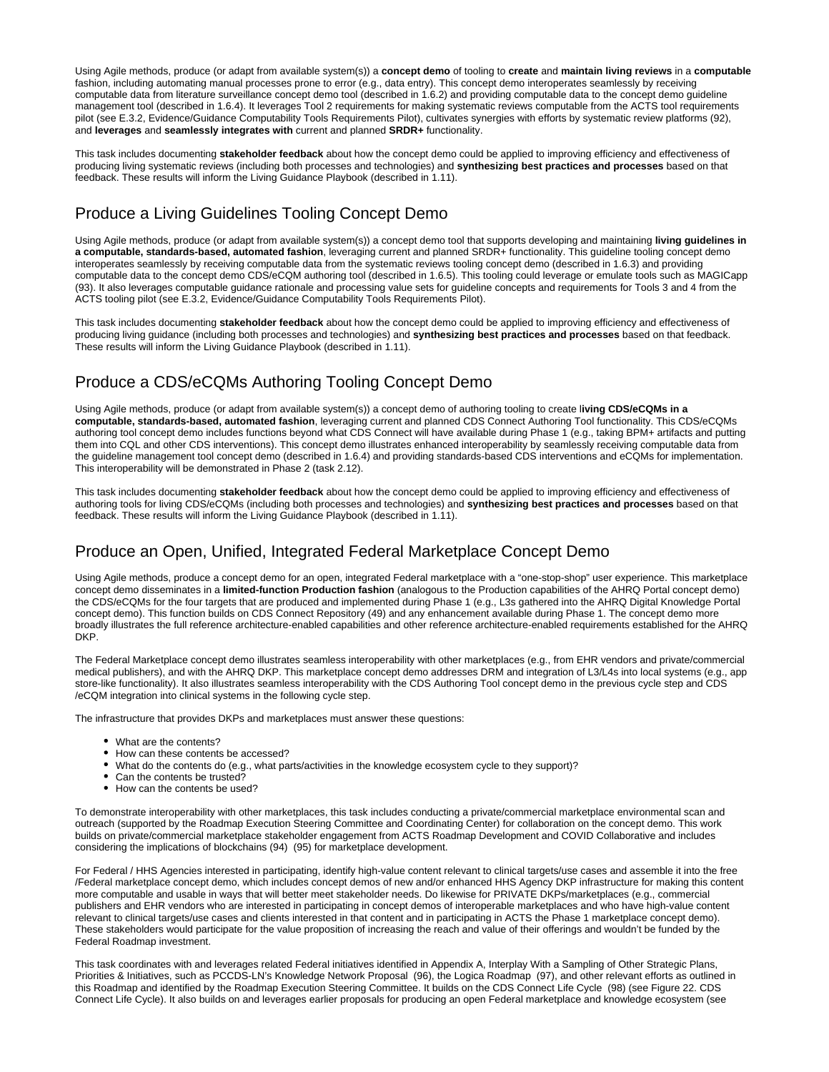Using Agile methods, produce (or adapt from available system(s)) a **concept demo** of tooling to **create** and **maintain living reviews** in a **computable** fashion, including automating manual processes prone to error (e.g., data entry). This concept demo interoperates seamlessly by receiving computable data from literature surveillance concept demo tool (described in 1.6.2) and providing computable data to the concept demo guideline management tool (described in 1.6.4). It leverages Tool 2 requirements for making systematic reviews computable from the ACTS tool requirements pilot (see E.3.2, Evidence/Guidance Computability Tools Requirements Pilot), cultivates synergies with efforts by systematic review platforms (92), and **leverages** and **seamlessly integrates with** current and planned **SRDR+** functionality.

This task includes documenting **stakeholder feedback** about how the concept demo could be applied to improving efficiency and effectiveness of producing living systematic reviews (including both processes and technologies) and **synthesizing best practices and processes** based on that feedback. These results will inform the Living Guidance Playbook (described in 1.11).

## <span id="page-11-0"></span>Produce a Living Guidelines Tooling Concept Demo

Using Agile methods, produce (or adapt from available system(s)) a concept demo tool that supports developing and maintaining **living guidelines in a computable, standards-based, automated fashion**, leveraging current and planned SRDR+ functionality. This guideline tooling concept demo interoperates seamlessly by receiving computable data from the systematic reviews tooling concept demo (described in 1.6.3) and providing computable data to the concept demo CDS/eCQM authoring tool (described in 1.6.5). This tooling could leverage or emulate tools such as MAGICapp (93). It also leverages computable guidance rationale and processing value sets for guideline concepts and requirements for Tools 3 and 4 from the ACTS tooling pilot (see E.3.2, Evidence/Guidance Computability Tools Requirements Pilot).

This task includes documenting **stakeholder feedback** about how the concept demo could be applied to improving efficiency and effectiveness of producing living guidance (including both processes and technologies) and **synthesizing best practices and processes** based on that feedback. These results will inform the Living Guidance Playbook (described in 1.11).

# <span id="page-11-1"></span>Produce a CDS/eCQMs Authoring Tooling Concept Demo

Using Agile methods, produce (or adapt from available system(s)) a concept demo of authoring tooling to create l**iving CDS/eCQMs in a computable, standards-based, automated fashion**, leveraging current and planned CDS Connect Authoring Tool functionality. This CDS/eCQMs authoring tool concept demo includes functions beyond what CDS Connect will have available during Phase 1 (e.g., taking BPM+ artifacts and putting them into CQL and other CDS interventions). This concept demo illustrates enhanced interoperability by seamlessly receiving computable data from the guideline management tool concept demo (described in 1.6.4) and providing standards-based CDS interventions and eCQMs for implementation. This interoperability will be demonstrated in Phase 2 (task 2.12).

This task includes documenting **stakeholder feedback** about how the concept demo could be applied to improving efficiency and effectiveness of authoring tools for living CDS/eCQMs (including both processes and technologies) and **synthesizing best practices and processes** based on that feedback. These results will inform the Living Guidance Playbook (described in 1.11).

# <span id="page-11-2"></span>Produce an Open, Unified, Integrated Federal Marketplace Concept Demo

Using Agile methods, produce a concept demo for an open, integrated Federal marketplace with a "one-stop-shop" user experience. This marketplace concept demo disseminates in a **limited-function Production fashion** (analogous to the Production capabilities of the AHRQ Portal concept demo) the CDS/eCQMs for the four targets that are produced and implemented during Phase 1 (e.g., L3s gathered into the AHRQ Digital Knowledge Portal concept demo). This function builds on CDS Connect Repository (49) and any enhancement available during Phase 1. The concept demo more broadly illustrates the full reference architecture-enabled capabilities and other reference architecture-enabled requirements established for the AHRQ DKP.

The Federal Marketplace concept demo illustrates seamless interoperability with other marketplaces (e.g., from EHR vendors and private/commercial medical publishers), and with the AHRQ DKP. This marketplace concept demo addresses DRM and integration of L3/L4s into local systems (e.g., app store-like functionality). It also illustrates seamless interoperability with the CDS Authoring Tool concept demo in the previous cycle step and CDS /eCQM integration into clinical systems in the following cycle step.

The infrastructure that provides DKPs and marketplaces must answer these questions:

- What are the contents?
- How can these contents be accessed?
- $\bullet$ What do the contents do (e.g., what parts/activities in the knowledge ecosystem cycle to they support)?
- Can the contents be trusted?
- How can the contents be used?

To demonstrate interoperability with other marketplaces, this task includes conducting a private/commercial marketplace environmental scan and outreach (supported by the Roadmap Execution Steering Committee and Coordinating Center) for collaboration on the concept demo. This work builds on private/commercial marketplace stakeholder engagement from ACTS Roadmap Development and COVID Collaborative and includes considering the implications of blockchains (94) (95) for marketplace development.

For Federal / HHS Agencies interested in participating, identify high-value content relevant to clinical targets/use cases and assemble it into the free /Federal marketplace concept demo, which includes concept demos of new and/or enhanced HHS Agency DKP infrastructure for making this content more computable and usable in ways that will better meet stakeholder needs. Do likewise for PRIVATE DKPs/marketplaces (e.g., commercial publishers and EHR vendors who are interested in participating in concept demos of interoperable marketplaces and who have high-value content relevant to clinical targets/use cases and clients interested in that content and in participating in ACTS the Phase 1 marketplace concept demo). These stakeholders would participate for the value proposition of increasing the reach and value of their offerings and wouldn't be funded by the Federal Roadmap investment.

This task coordinates with and leverages related Federal initiatives identified in Appendix A, Interplay With a Sampling of Other Strategic Plans, Priorities & Initiatives, such as PCCDS-LN's Knowledge Network Proposal (96), the Logica Roadmap (97), and other relevant efforts as outlined in this Roadmap and identified by the Roadmap Execution Steering Committee. It builds on the CDS Connect Life Cycle (98) (see Figure 22. CDS Connect Life Cycle). It also builds on and leverages earlier proposals for producing an open Federal marketplace and knowledge ecosystem (see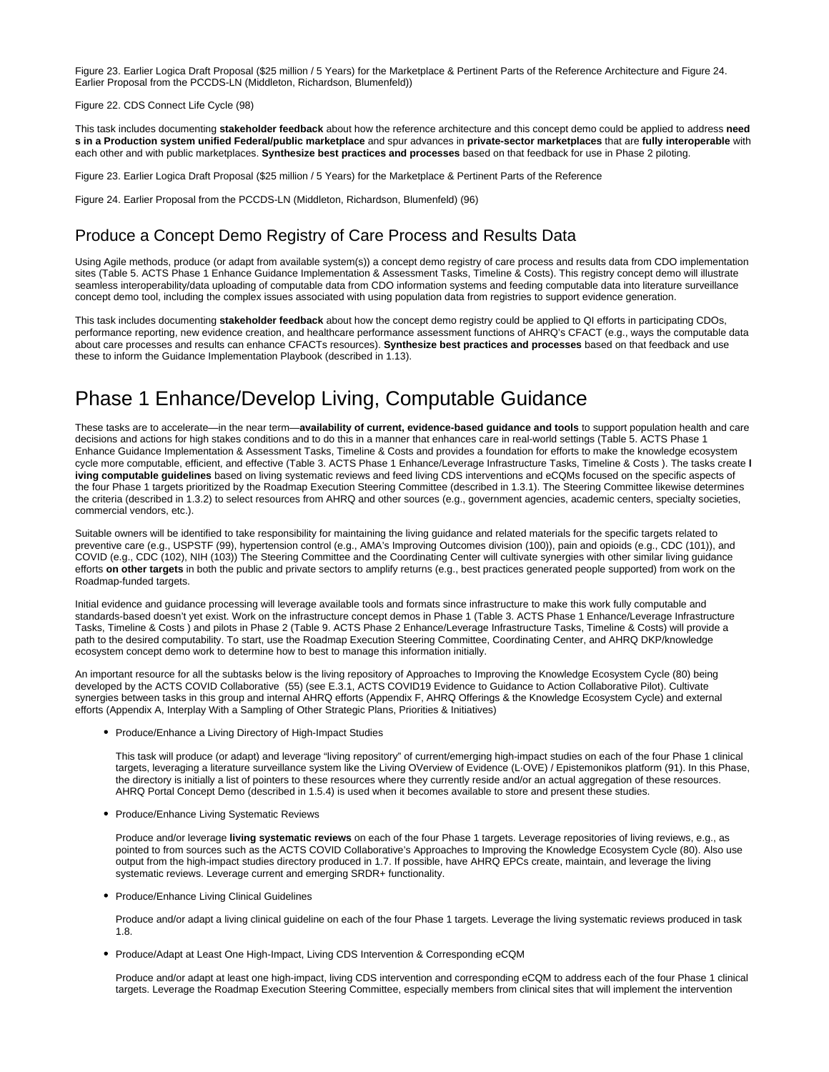Figure 23. Earlier Logica Draft Proposal (\$25 million / 5 Years) for the Marketplace & Pertinent Parts of the Reference Architecture and Figure 24. Earlier Proposal from the PCCDS-LN (Middleton, Richardson, Blumenfeld))

#### Figure 22. CDS Connect Life Cycle (98)

This task includes documenting **stakeholder feedback** about how the reference architecture and this concept demo could be applied to address **need s in a Production system unified Federal/public marketplace** and spur advances in **private-sector marketplaces** that are **fully interoperable** with each other and with public marketplaces. **Synthesize best practices and processes** based on that feedback for use in Phase 2 piloting.

Figure 23. Earlier Logica Draft Proposal (\$25 million / 5 Years) for the Marketplace & Pertinent Parts of the Reference

Figure 24. Earlier Proposal from the PCCDS-LN (Middleton, Richardson, Blumenfeld) (96)

#### <span id="page-12-0"></span>Produce a Concept Demo Registry of Care Process and Results Data

Using Agile methods, produce (or adapt from available system(s)) a concept demo registry of care process and results data from CDO implementation sites (Table 5. ACTS Phase 1 Enhance Guidance Implementation & Assessment Tasks, Timeline & Costs). This registry concept demo will illustrate seamless interoperability/data uploading of computable data from CDO information systems and feeding computable data into literature surveillance concept demo tool, including the complex issues associated with using population data from registries to support evidence generation.

This task includes documenting **stakeholder feedback** about how the concept demo registry could be applied to QI efforts in participating CDOs, performance reporting, new evidence creation, and healthcare performance assessment functions of AHRQ's CFACT (e.g., ways the computable data about care processes and results can enhance CFACTs resources). **Synthesize best practices and processes** based on that feedback and use these to inform the Guidance Implementation Playbook (described in 1.13).

# <span id="page-12-1"></span>Phase 1 Enhance/Develop Living, Computable Guidance

These tasks are to accelerate—in the near term—**availability of current, evidence-based guidance and tools** to support population health and care decisions and actions for high stakes conditions and to do this in a manner that enhances care in real-world settings (Table 5. ACTS Phase 1 Enhance Guidance Implementation & Assessment Tasks, Timeline & Costs and provides a foundation for efforts to make the knowledge ecosystem cycle more computable, efficient, and effective (Table 3. ACTS Phase 1 Enhance/Leverage Infrastructure Tasks, Timeline & Costs ). The tasks create **l iving computable guidelines** based on living systematic reviews and feed living CDS interventions and eCQMs focused on the specific aspects of the four Phase 1 targets prioritized by the Roadmap Execution Steering Committee (described in 1.3.1). The Steering Committee likewise determines the criteria (described in 1.3.2) to select resources from AHRQ and other sources (e.g., government agencies, academic centers, specialty societies, commercial vendors, etc.).

Suitable owners will be identified to take responsibility for maintaining the living guidance and related materials for the specific targets related to preventive care (e.g., USPSTF (99), hypertension control (e.g., AMA's Improving Outcomes division (100)), pain and opioids (e.g., CDC (101)), and COVID (e.g., CDC (102), NIH (103)) The Steering Committee and the Coordinating Center will cultivate synergies with other similar living guidance efforts **on other targets** in both the public and private sectors to amplify returns (e.g., best practices generated people supported) from work on the Roadmap-funded targets.

Initial evidence and guidance processing will leverage available tools and formats since infrastructure to make this work fully computable and standards-based doesn't yet exist. Work on the infrastructure concept demos in Phase 1 (Table 3. ACTS Phase 1 Enhance/Leverage Infrastructure Tasks, Timeline & Costs ) and pilots in Phase 2 (Table 9. ACTS Phase 2 Enhance/Leverage Infrastructure Tasks, Timeline & Costs) will provide a path to the desired computability. To start, use the Roadmap Execution Steering Committee, Coordinating Center, and AHRQ DKP/knowledge ecosystem concept demo work to determine how to best to manage this information initially.

An important resource for all the subtasks below is the living repository of Approaches to Improving the Knowledge Ecosystem Cycle (80) being developed by the ACTS COVID Collaborative (55) (see E.3.1, ACTS COVID19 Evidence to Guidance to Action Collaborative Pilot). Cultivate synergies between tasks in this group and internal AHRQ efforts (Appendix F, AHRQ Offerings & the Knowledge Ecosystem Cycle) and external efforts (Appendix A, Interplay With a Sampling of Other Strategic Plans, Priorities & Initiatives)

• Produce/Enhance a Living Directory of High-Impact Studies

This task will produce (or adapt) and leverage "living repository" of current/emerging high-impact studies on each of the four Phase 1 clinical targets, leveraging a literature surveillance system like the Living OVerview of Evidence (L·OVE) / Epistemonikos platform (91). In this Phase, the directory is initially a list of pointers to these resources where they currently reside and/or an actual aggregation of these resources. AHRQ Portal Concept Demo (described in 1.5.4) is used when it becomes available to store and present these studies.

• Produce/Enhance Living Systematic Reviews

Produce and/or leverage **living systematic reviews** on each of the four Phase 1 targets. Leverage repositories of living reviews, e.g., as pointed to from sources such as the ACTS COVID Collaborative's Approaches to Improving the Knowledge Ecosystem Cycle (80). Also use output from the high-impact studies directory produced in 1.7. If possible, have AHRQ EPCs create, maintain, and leverage the living systematic reviews. Leverage current and emerging SRDR+ functionality.

• Produce/Enhance Living Clinical Guidelines

Produce and/or adapt a living clinical guideline on each of the four Phase 1 targets. Leverage the living systematic reviews produced in task 1.8.

Produce/Adapt at Least One High-Impact, Living CDS Intervention & Corresponding eCQM

Produce and/or adapt at least one high-impact, living CDS intervention and corresponding eCQM to address each of the four Phase 1 clinical targets. Leverage the Roadmap Execution Steering Committee, especially members from clinical sites that will implement the intervention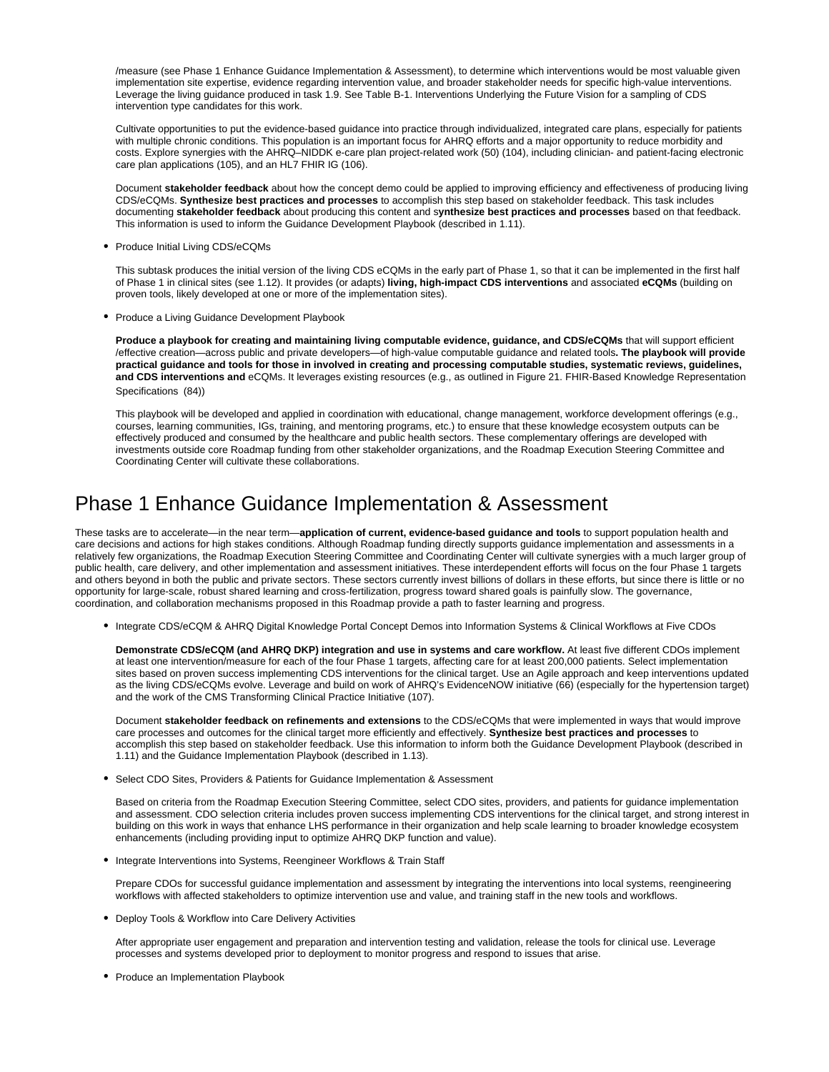/measure (see Phase 1 Enhance Guidance Implementation & Assessment), to determine which interventions would be most valuable given implementation site expertise, evidence regarding intervention value, and broader stakeholder needs for specific high-value interventions. Leverage the living guidance produced in task 1.9. See Table B-1. Interventions Underlying the Future Vision for a sampling of CDS intervention type candidates for this work.

Cultivate opportunities to put the evidence-based guidance into practice through individualized, integrated care plans, especially for patients with multiple chronic conditions. This population is an important focus for AHRQ efforts and a major opportunity to reduce morbidity and costs. Explore synergies with the AHRQ–NIDDK e-care plan project-related work (50) (104), including clinician- and patient-facing electronic care plan applications (105), and an HL7 FHIR IG (106).

Document **stakeholder feedback** about how the concept demo could be applied to improving efficiency and effectiveness of producing living CDS/eCQMs. **Synthesize best practices and processes** to accomplish this step based on stakeholder feedback. This task includes documenting **stakeholder feedback** about producing this content and s**ynthesize best practices and processes** based on that feedback. This information is used to inform the Guidance Development Playbook (described in 1.11).

• Produce Initial Living CDS/eCQMs

This subtask produces the initial version of the living CDS eCQMs in the early part of Phase 1, so that it can be implemented in the first half of Phase 1 in clinical sites (see 1.12). It provides (or adapts) **living, high-impact CDS interventions** and associated **eCQMs** (building on proven tools, likely developed at one or more of the implementation sites).

• Produce a Living Guidance Development Playbook

**Produce a playbook for creating and maintaining living computable evidence, guidance, and CDS/eCQMs** that will support efficient /effective creation—across public and private developers—of high-value computable guidance and related tools**. The playbook will provide practical guidance and tools for those in involved in creating and processing computable studies, systematic reviews, guidelines, and CDS interventions and** eCQMs. It leverages existing resources (e.g., as outlined in Figure 21. FHIR-Based Knowledge Representation Specifications (84))

This playbook will be developed and applied in coordination with educational, change management, workforce development offerings (e.g., courses, learning communities, IGs, training, and mentoring programs, etc.) to ensure that these knowledge ecosystem outputs can be effectively produced and consumed by the healthcare and public health sectors. These complementary offerings are developed with investments outside core Roadmap funding from other stakeholder organizations, and the Roadmap Execution Steering Committee and Coordinating Center will cultivate these collaborations.

# <span id="page-13-0"></span>Phase 1 Enhance Guidance Implementation & Assessment

These tasks are to accelerate—in the near term—**application of current, evidence-based guidance and tools** to support population health and care decisions and actions for high stakes conditions. Although Roadmap funding directly supports guidance implementation and assessments in a relatively few organizations, the Roadmap Execution Steering Committee and Coordinating Center will cultivate synergies with a much larger group of public health, care delivery, and other implementation and assessment initiatives. These interdependent efforts will focus on the four Phase 1 targets and others beyond in both the public and private sectors. These sectors currently invest billions of dollars in these efforts, but since there is little or no opportunity for large-scale, robust shared learning and cross-fertilization, progress toward shared goals is painfully slow. The governance, coordination, and collaboration mechanisms proposed in this Roadmap provide a path to faster learning and progress.

Integrate CDS/eCQM & AHRQ Digital Knowledge Portal Concept Demos into Information Systems & Clinical Workflows at Five CDOs

**Demonstrate CDS/eCQM (and AHRQ DKP) integration and use in systems and care workflow.** At least five different CDOs implement at least one intervention/measure for each of the four Phase 1 targets, affecting care for at least 200,000 patients. Select implementation sites based on proven success implementing CDS interventions for the clinical target. Use an Agile approach and keep interventions updated as the living CDS/eCQMs evolve. Leverage and build on work of AHRQ's EvidenceNOW initiative (66) (especially for the hypertension target) and the work of the CMS Transforming Clinical Practice Initiative (107).

Document **stakeholder feedback on refinements and extensions** to the CDS/eCQMs that were implemented in ways that would improve care processes and outcomes for the clinical target more efficiently and effectively. **Synthesize best practices and processes** to accomplish this step based on stakeholder feedback. Use this information to inform both the Guidance Development Playbook (described in 1.11) and the Guidance Implementation Playbook (described in 1.13).

Select CDO Sites, Providers & Patients for Guidance Implementation & Assessment

Based on criteria from the Roadmap Execution Steering Committee, select CDO sites, providers, and patients for guidance implementation and assessment. CDO selection criteria includes proven success implementing CDS interventions for the clinical target, and strong interest in building on this work in ways that enhance LHS performance in their organization and help scale learning to broader knowledge ecosystem enhancements (including providing input to optimize AHRQ DKP function and value).

• Integrate Interventions into Systems, Reengineer Workflows & Train Staff

Prepare CDOs for successful guidance implementation and assessment by integrating the interventions into local systems, reengineering workflows with affected stakeholders to optimize intervention use and value, and training staff in the new tools and workflows.

Deploy Tools & Workflow into Care Delivery Activities

After appropriate user engagement and preparation and intervention testing and validation, release the tools for clinical use. Leverage processes and systems developed prior to deployment to monitor progress and respond to issues that arise.

• Produce an Implementation Playbook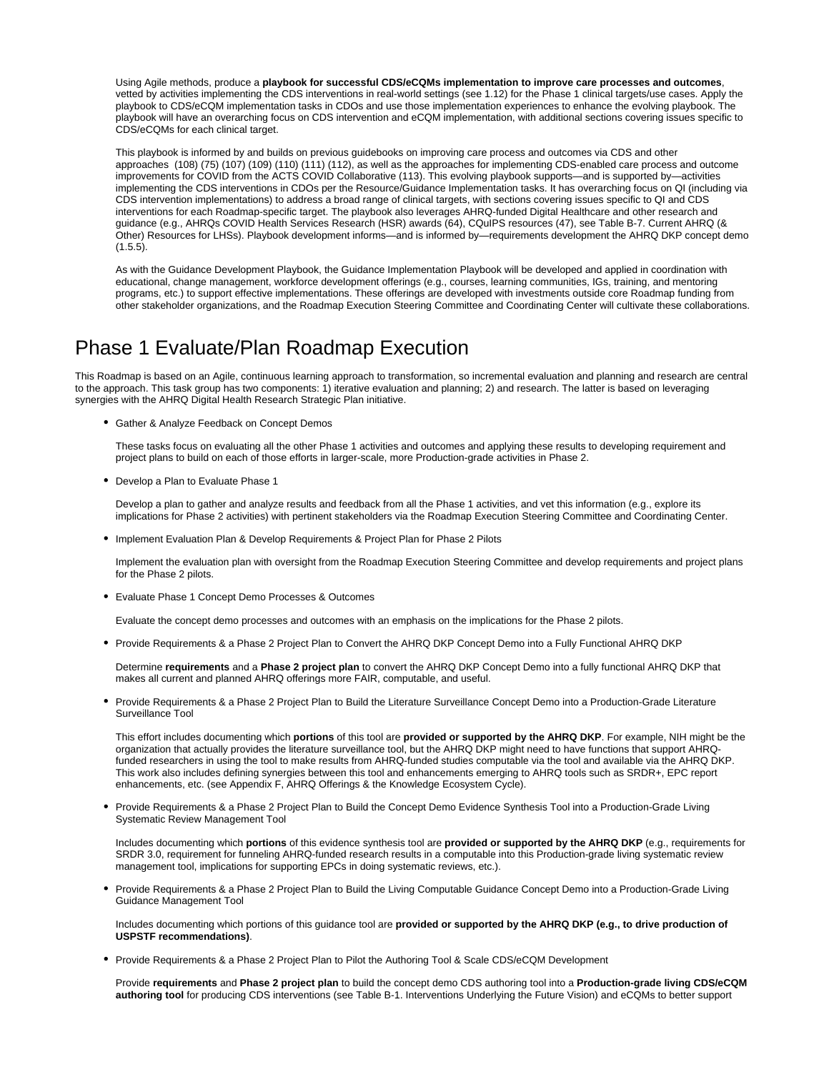Using Agile methods, produce a **playbook for successful CDS/eCQMs implementation to improve care processes and outcomes**, vetted by activities implementing the CDS interventions in real-world settings (see 1.12) for the Phase 1 clinical targets/use cases. Apply the playbook to CDS/eCQM implementation tasks in CDOs and use those implementation experiences to enhance the evolving playbook. The playbook will have an overarching focus on CDS intervention and eCQM implementation, with additional sections covering issues specific to CDS/eCQMs for each clinical target.

This playbook is informed by and builds on previous guidebooks on improving care process and outcomes via CDS and other approaches (108) (75) (107) (109) (110) (111) (112), as well as the approaches for implementing CDS-enabled care process and outcome improvements for COVID from the ACTS COVID Collaborative (113). This evolving playbook supports—and is supported by—activities implementing the CDS interventions in CDOs per the Resource/Guidance Implementation tasks. It has overarching focus on QI (including via CDS intervention implementations) to address a broad range of clinical targets, with sections covering issues specific to QI and CDS interventions for each Roadmap-specific target. The playbook also leverages AHRQ-funded Digital Healthcare and other research and guidance (e.g., AHRQs COVID Health Services Research (HSR) awards (64), CQuIPS resources (47), see Table B-7. Current AHRQ (& Other) Resources for LHSs). Playbook development informs—and is informed by—requirements development the AHRQ DKP concept demo (1.5.5).

As with the Guidance Development Playbook, the Guidance Implementation Playbook will be developed and applied in coordination with educational, change management, workforce development offerings (e.g., courses, learning communities, IGs, training, and mentoring programs, etc.) to support effective implementations. These offerings are developed with investments outside core Roadmap funding from other stakeholder organizations, and the Roadmap Execution Steering Committee and Coordinating Center will cultivate these collaborations.

# <span id="page-14-0"></span>Phase 1 Evaluate/Plan Roadmap Execution

This Roadmap is based on an Agile, continuous learning approach to transformation, so incremental evaluation and planning and research are central to the approach. This task group has two components: 1) iterative evaluation and planning; 2) and research. The latter is based on leveraging synergies with the AHRQ Digital Health Research Strategic Plan initiative.

Gather & Analyze Feedback on Concept Demos

These tasks focus on evaluating all the other Phase 1 activities and outcomes and applying these results to developing requirement and project plans to build on each of those efforts in larger-scale, more Production-grade activities in Phase 2.

Develop a Plan to Evaluate Phase 1

Develop a plan to gather and analyze results and feedback from all the Phase 1 activities, and vet this information (e.g., explore its implications for Phase 2 activities) with pertinent stakeholders via the Roadmap Execution Steering Committee and Coordinating Center.

Implement Evaluation Plan & Develop Requirements & Project Plan for Phase 2 Pilots

Implement the evaluation plan with oversight from the Roadmap Execution Steering Committee and develop requirements and project plans for the Phase 2 pilots.

Evaluate Phase 1 Concept Demo Processes & Outcomes

Evaluate the concept demo processes and outcomes with an emphasis on the implications for the Phase 2 pilots.

Provide Requirements & a Phase 2 Project Plan to Convert the AHRQ DKP Concept Demo into a Fully Functional AHRQ DKP

Determine **requirements** and a **Phase 2 project plan** to convert the AHRQ DKP Concept Demo into a fully functional AHRQ DKP that makes all current and planned AHRQ offerings more FAIR, computable, and useful.

Provide Requirements & a Phase 2 Project Plan to Build the Literature Surveillance Concept Demo into a Production-Grade Literature Surveillance Tool

This effort includes documenting which **portions** of this tool are **provided or supported by the AHRQ DKP**. For example, NIH might be the organization that actually provides the literature surveillance tool, but the AHRQ DKP might need to have functions that support AHRQfunded researchers in using the tool to make results from AHRQ-funded studies computable via the tool and available via the AHRQ DKP. This work also includes defining synergies between this tool and enhancements emerging to AHRQ tools such as SRDR+, EPC report enhancements, etc. (see Appendix F, AHRQ Offerings & the Knowledge Ecosystem Cycle).

Provide Requirements & a Phase 2 Project Plan to Build the Concept Demo Evidence Synthesis Tool into a Production-Grade Living Systematic Review Management Tool

Includes documenting which **portions** of this evidence synthesis tool are **provided or supported by the AHRQ DKP** (e.g., requirements for SRDR 3.0, requirement for funneling AHRQ-funded research results in a computable into this Production-grade living systematic review management tool, implications for supporting EPCs in doing systematic reviews, etc.).

Provide Requirements & a Phase 2 Project Plan to Build the Living Computable Guidance Concept Demo into a Production-Grade Living Guidance Management Tool

Includes documenting which portions of this guidance tool are **provided or supported by the AHRQ DKP (e.g., to drive production of USPSTF recommendations)**.

Provide Requirements & a Phase 2 Project Plan to Pilot the Authoring Tool & Scale CDS/eCQM Development

Provide **requirements** and **Phase 2 project plan** to build the concept demo CDS authoring tool into a **Production-grade living CDS/eCQM authoring tool** for producing CDS interventions (see Table B-1. Interventions Underlying the Future Vision) and eCQMs to better support